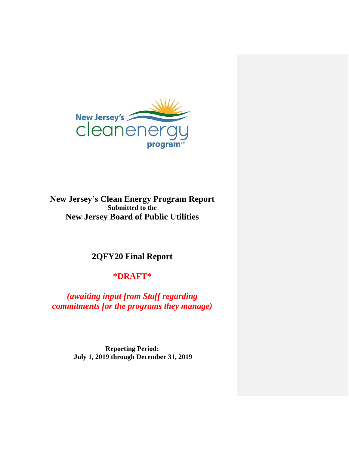

**New Jersey's Clean Energy Program Report Submitted to the New Jersey Board of Public Utilities**

# **2QFY20 Final Report**

# **\*DRAFT\***

*(awaiting input from Staff regarding commitments for the programs they manage)*

> **Reporting Period: July 1, 2019 through December 31, 2019**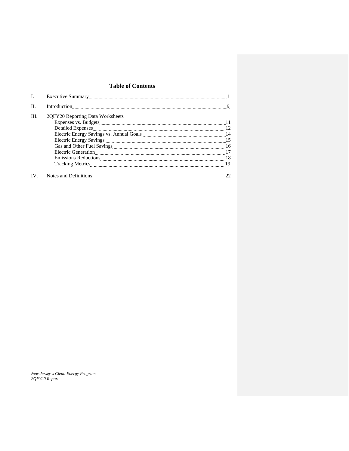## **Table of Contents**

| I.   |                                                                                                                                      |    |
|------|--------------------------------------------------------------------------------------------------------------------------------------|----|
| H.   |                                                                                                                                      |    |
| III. | 2QFY20 Reporting Data Worksheets                                                                                                     |    |
|      |                                                                                                                                      |    |
|      |                                                                                                                                      |    |
|      |                                                                                                                                      |    |
|      |                                                                                                                                      |    |
|      |                                                                                                                                      |    |
|      |                                                                                                                                      |    |
|      |                                                                                                                                      |    |
|      |                                                                                                                                      |    |
|      | IV. Notes and Definitions <b>CONSUMER</b> 2020 Notes and Definitions <b>CONSUMER</b> 2020 Notes and Definitions <b>CONSUMER</b> 2020 | 22 |

*New Jersey's Clean Energy Program 2QFY20 Report*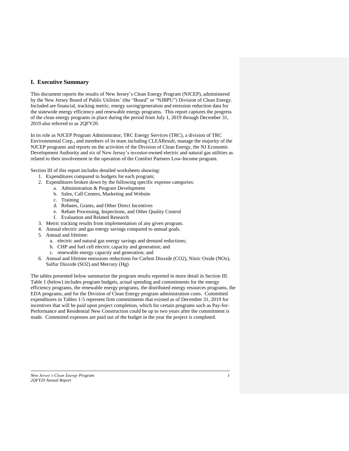## **I. Executive Summary**

This document reports the results of New Jersey's Clean Energy Program (NJCEP), administered by the New Jersey Board of Public Utilities' (the "Board" or "NJBPU") Division of Clean Energy. Included are financial, tracking metric, energy saving/generation and emission reduction data for the statewide energy efficiency and renewable energy programs. This report captures the progress of the clean energy programs in place during the period from July 1, 2019 through December 31, 2019 also referred to as 2QFY20.

In its role as NJCEP Program Administrator, TRC Energy Services (TRC), a division of TRC Environmental Corp., and members of its team including CLEAResult, manage the majority of the NJCEP programs and reports on the activities of the Division of Clean Energy, the NJ Economic Development Authority and six of New Jersey's investor-owned electric and natural gas utilities as related to their involvement in the operation of the Comfort Partners Low-Income program.

Section III of this report includes detailed worksheets showing:

- 1. Expenditures compared to budgets for each program;
- 2. Expenditures broken down by the following specific expense categories:
	- a. Administration & Program Development
	- b. Sales, Call Centers, Marketing and Website
	- c. Training
	- d. Rebates, Grants, and Other Direct Incentives
	- e. Rebate Processing, Inspections, and Other Quality Control
	- f. Evaluation and Related Research
- 3. Metric tracking results from implementation of any given program.
- 4. Annual electric and gas energy savings compared to annual goals.
- 5. Annual and lifetime:
	- a. electric and natural gas energy savings and demand reductions;
	- b. CHP and fuel cell electric capacity and generation; and
	- c. renewable energy capacity and generation; and
- 6. Annual and lifetime emissions reductions for Carbon Dioxide (CO2), Nitric Oxide (NOx), Sulfur Dioxide (SO2) and Mercury (Hg)

The tables presented below summarize the program results reported in more detail in Section III. Table 1 (below) includes program budgets, actual spending and commitments for the energy efficiency programs, the renewable energy programs, the distributed energy resources programs, the EDA programs, and for the Division of Clean Energy program administration costs. Committed expenditures in Tables 1-5 represent firm commitments that existed as of December 31, 2019 for incentives that will be paid upon project completion, which for certain programs such as Pay-for-Performance and Residential New Construction could be up to two years after the commitment is made. Committed expenses are paid out of the budget in the year the project is completed.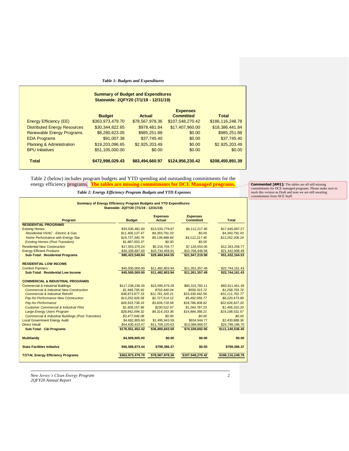*Table 1: Budgets and Expenditures*

| <b>Summary of Budget and Expenditures</b><br>Statewide: 2QFY20 (7/1/19 - 12/31/19) |                  |                 |                                     |                  |  |  |  |  |
|------------------------------------------------------------------------------------|------------------|-----------------|-------------------------------------|------------------|--|--|--|--|
|                                                                                    | <b>Budget</b>    | Actual          | <b>Expenses</b><br><b>Committed</b> | <b>Total</b>     |  |  |  |  |
| <b>Energy Efficiency (EE)</b>                                                      | \$363,973,479.70 | \$78,567,978.36 | \$107,548,270.42                    | \$186,116,248.78 |  |  |  |  |
| <b>Distributed Energy Resources</b>                                                | \$30.344.822.65  | \$978.481.84    | \$17,407,960.00                     | \$18,386,441.84  |  |  |  |  |
| <b>Renewable Energy Programs</b>                                                   | \$8,280,623.05   | \$985,251.88    | \$0.00                              | \$985,251.88     |  |  |  |  |
| <b>EDA Programs</b>                                                                | \$91,007.38      | \$37,745.40     | \$0.00                              | \$37,745.40      |  |  |  |  |
| <b>Planning &amp; Administration</b>                                               | \$19,203,096.65  | \$2,925,203.49  | \$0.00                              | \$2,925,203.49   |  |  |  |  |
| <b>BPU Initiatives</b>                                                             | \$51,105,000.00  | \$0.00          | \$0.00                              | \$0.00           |  |  |  |  |
| <b>Total</b>                                                                       | \$472,998,029.43 | \$83.494.660.97 | \$124.956.230.42                    | \$208,450,891.39 |  |  |  |  |

## Table 2 (below) includes program budgets and YTD spending and outstanding commitments for the energy efficiency programs. **The tables are missing commitments for DCE Managed programs.**

*Table 2: Energy Efficiency Program Budgets and YTD Expenses*

**Commented [AM1]:** The tables are all still missing<br>commitments for DCE managed programs. Please make sure to<br>mark this version as Draft and note we are still awaiting<br>commitments from DCE Staff.

| Summary of Energy Efficiency Program Budgets and YTD Expenditures | Statewide: 2QFY20 (7/1/19 - 12/31/19) |                                  |                                     |                  |
|-------------------------------------------------------------------|---------------------------------------|----------------------------------|-------------------------------------|------------------|
| Program                                                           | <b>Budget</b>                         | <b>Expenses</b><br><b>Actual</b> | <b>Expenses</b><br><b>Committed</b> | Total            |
| <b>RESIDENTIAL PROGRAMS</b>                                       |                                       |                                  |                                     |                  |
| <b>Existing Homes</b>                                             | \$33,030,481.60                       | \$13,533,779.87                  | \$4,112,217.40                      | \$17,645,997.27  |
| Residential HVAC - Electric & Gas                                 | \$11,406,137,47                       | \$4,393,791,03                   | \$0.00                              | \$4,393,791.03   |
| Home Performance with Energy Star                                 | \$19,737,340.76                       | \$9,139,988.84                   | \$4,112,217.40                      | \$13,252,206.24  |
| <b>Existing Homes (Post Transition)</b>                           | \$1,887,003.37                        | \$0.00                           | \$0.00                              |                  |
| <b>Residential New Construction</b>                               | \$17,053,370.24                       | \$5,216,704.77                   | \$7,126,554.00                      | \$12,343,258.77  |
| <b>Energy Efficient Products</b>                                  | \$30,339,697.00                       | \$10,734,459.91                  | \$10,708,448.58                     | \$21,442,908.49  |
| <b>Sub-Total: Residential Programs</b>                            | \$80,423,548.84                       | \$29,484,944.55                  | \$21,947,219.98                     | \$51,432,164.53  |
| <b>RESIDENTIAL LOW INCOME</b>                                     |                                       |                                  |                                     |                  |
| <b>Comfort Partners</b>                                           | \$45,500,000.00                       | \$11,482,803.94                  | \$11,261,357.49                     | \$22,744,161.43  |
| Sub-Total: Residential Low Income                                 | \$45,500,000.00                       | \$11,482,803.94                  | \$11.261.357.49                     | \$22,744,161.43  |
| <b>COMMERCIAL &amp; INDUSTRIAL PROGRAMS</b>                       |                                       |                                  |                                     |                  |
| <b>Commercial &amp; Industrial Buildings</b>                      | \$117,238,236.35                      | \$23,595,679.28                  | \$60,315,782.11                     | \$83,911,461.39  |
| <b>Commercial &amp; Industrial New Construction</b>               | \$1,948,795.92                        | \$702,440.04                     | \$556,315.72                        | \$1,258,755,76   |
| <b>Commercial &amp; Industrial Retrofit</b>                       | \$38,873,877.33                       | \$11,781,320.21                  | \$19,330,442.56                     | \$31,111,762.77  |
| Pay-for-Performance New Construction                              | \$13,252,926.58                       | \$2,727,514.12                   | \$5,492,959.77                      | \$8,220,473.89   |
| Pay-for-Performance                                               | \$28,933,738,16                       | \$3,839,718,58                   | \$18,786,908.62                     | \$22,626,627,20  |
| <b>Customer Commercial &amp; Industrial Pilot</b>                 | \$1,909,157.96                        | \$230,522.97                     | \$1,264,787,23                      | \$1,495,310.20   |
| <b>Large Energy Users Program</b>                                 | \$28,842,094.32                       | \$4,314,163.36                   | \$14,884,368.21                     | \$19,198,531.57  |
| <b>Commercial &amp; Industrial Buildings (Post Transition)</b>    | \$3,477,646.08                        | \$0.00                           | \$0.00                              | \$0.00           |
| <b>Local Government Energy Audit</b>                              | \$4,682,805.60                        | \$1,495,943.59                   | \$934.944.77                        | \$2,430,888.36   |
| <b>Direct Install</b>                                             | \$54,630,410.47                       | \$11,709,220.63                  | \$13,088,966.07                     | \$24,798,186.70  |
| <b>Sub-Total: C&amp;I Programs</b>                                | \$176,551,452.42                      | \$36,800,843,50                  | \$74,339,692.95                     | \$111,140,536.45 |
| <b>Multifamily</b>                                                | \$4,909,605.00                        | \$0.00                           | \$0.00                              | \$0.00           |
| <b>State Facilities Initiative</b>                                | \$56,588,873.44                       | \$799,386.37                     | \$0.00                              | \$799,386.37     |
| <b>TOTAL Energy Efficiency Programs</b>                           | \$363,973,479.70                      | \$78,567,978,36                  | \$107,548,270.42                    | \$186,116,248.78 |

*New Jersey's Clean Energy Program 2 2QFY20 Annual Report*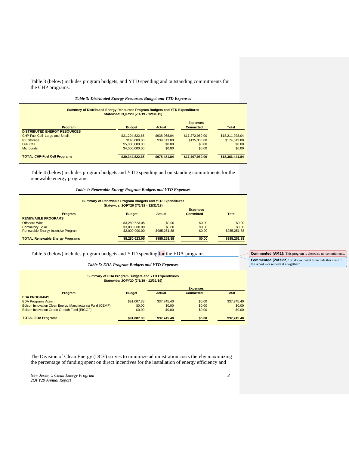Table 3 (below) includes program budgets, and YTD spending and outstanding commitments for the CHP programs.

| Summary of Distributed Energy Resources Program Budgets and YTD Expenditures<br>Statewide: 2QFY20 (7/1/19 - 12/31/19) |                 |              |                                     |                 |  |  |  |
|-----------------------------------------------------------------------------------------------------------------------|-----------------|--------------|-------------------------------------|-----------------|--|--|--|
| Program                                                                                                               | <b>Budget</b>   | Actual       | <b>Expenses</b><br><b>Committed</b> | <b>Total</b>    |  |  |  |
| <b>DISTRIBUTED ENERGY RESOURCES</b>                                                                                   |                 |              |                                     |                 |  |  |  |
| CHP-Fuel Cell: Large and Small                                                                                        | \$21,204,822.65 | \$938,968.04 | \$17,272,960,00                     | \$18,211,928,04 |  |  |  |
| <b>RE</b> Storage                                                                                                     | \$140,000,00    | \$39,513.80  | \$135,000.00                        | \$174,513,80    |  |  |  |
| <b>Fuel Cell</b>                                                                                                      | \$5,000,000,00  | \$0.00       | \$0.00                              | \$0.00          |  |  |  |
| <b>Microgrids</b>                                                                                                     | \$4,000,000,00  | \$0.00       | \$0.00                              | \$0.00          |  |  |  |
| <b>TOTAL CHP-Fuel Cell Programs</b>                                                                                   | \$30,344,822.65 | \$978.481.84 | \$17,407,960,00                     | \$18,386,441.84 |  |  |  |

Table 4 (below) includes program budgets and YTD spending and outstanding commitments for the renewable energy programs.

#### *Table 4: Renewable Energy Program Budgets and YTD Expenses*

| <b>Summary of Renewable Program Budgets and YTD Expenditures</b> | Statewide: 2QFY20 (7/1/19 - 12/31/19) |              |                                     |              |
|------------------------------------------------------------------|---------------------------------------|--------------|-------------------------------------|--------------|
| Program                                                          | <b>Budget</b>                         | Actual       | <b>Expenses</b><br><b>Committed</b> | Total        |
| <b>RENEWABLE PROGRAMS</b>                                        |                                       |              |                                     |              |
| Offshore Wind                                                    | \$3,280,623,05                        | \$0.00       | \$0.00                              | \$0.00       |
| <b>Community Solar</b>                                           | \$3,000,000,00                        | \$0.00       | \$0.00                              | \$0.00       |
| Renewable Energy Incentive Program                               | \$2,000,000,00                        | \$985,251,88 | \$0.00                              | \$985,251,88 |
| <b>TOTAL Renewable Energy Programs</b>                           | \$8.280.623.05                        | \$985,251.88 | \$0.00                              | \$985.251.88 |

## Table 5 (below) includes program budgets and YTD spending for the EDA programs.

#### *Table 5: EDA Program Budgets and YTD Expenses*

| <b>Summary of EDA Program Budgets and YTD Expenditures</b><br>Statewide: 2QFY20 (7/1/19 - 12/31/19) |             |             |        |             |  |  |  |  |
|-----------------------------------------------------------------------------------------------------|-------------|-------------|--------|-------------|--|--|--|--|
| <b>Expenses</b>                                                                                     |             |             |        |             |  |  |  |  |
| <b>Total</b><br><b>Actual</b><br><b>Committed</b><br><b>Budget</b><br>Program                       |             |             |        |             |  |  |  |  |
| <b>EDA PROGRAMS</b>                                                                                 |             |             |        |             |  |  |  |  |
| <b>EDA Programs Admin</b>                                                                           | \$91,007.38 | \$37,745,40 | \$0.00 | \$37,745.40 |  |  |  |  |
| Edison Innovation Clean Energy Manufacturing Fund (CEMF)                                            | \$0.00      | \$0.00      | \$0.00 | \$0.00      |  |  |  |  |
| Edison Innovation Green Growth Fund (EIGGF)                                                         | \$0.00      | \$0.00      | \$0.00 | \$0.00      |  |  |  |  |
| <b>TOTAL EDA Programs</b>                                                                           | \$91.007.38 | \$37,745,40 | \$0.00 | \$37.745.40 |  |  |  |  |

The Division of Clean Energy (DCE) strives to minimize administration costs thereby maximizing the percentage of funding spent on direct incentives for the installation of energy efficiency and

*New Jersey's Clean Energy Program 3 2QFY20 Annual Report*

 $\mathbf I$ 

**Commented [AM2]:** This program is closed so no commitments. **Commented [ZM3R2]:** So do you want to include this chart in the report – or remove it altogether?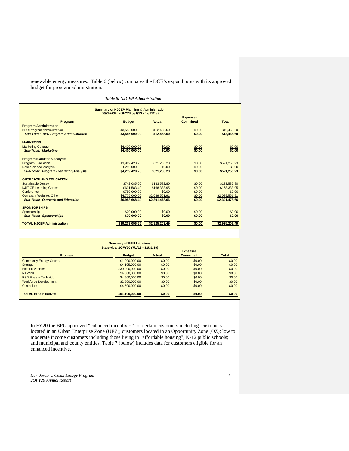renewable energy measures. Table 6 (below) compares the DCE's expenditures with its approved budget for program administration.

|                                               | <b>Summary of NJCEP Planning &amp; Administration</b><br>Statewide: 2QFY20 (7/1/19 - 12/31/19) |                |                  |                |
|-----------------------------------------------|------------------------------------------------------------------------------------------------|----------------|------------------|----------------|
|                                               |                                                                                                |                | <b>Expenses</b>  |                |
| Program                                       | <b>Budget</b>                                                                                  | <b>Actual</b>  | <b>Committed</b> | Total          |
| <b>Program Administration</b>                 |                                                                                                |                |                  |                |
| <b>BPU Program Administration</b>             | \$3,555,000,00                                                                                 | \$12,468.60    | \$0.00           | \$12,468.60    |
| <b>Sub-Total: BPU Program Administration</b>  | \$3,555,000.00                                                                                 | \$12,468.60    | \$0.00           | \$12,468.60    |
| <b>MARKETING</b>                              |                                                                                                |                |                  |                |
| <b>Marketing Contract</b>                     | \$4,400,000,00                                                                                 | \$0.00         | \$0.00           | \$0.00         |
| <b>Sub-Total: Marketing</b>                   | \$4,400,000.00                                                                                 | \$0.00         | \$0.00           | \$0.00         |
| <b>Program Evaluation/Analysis</b>            |                                                                                                |                |                  |                |
| <b>Program Evaluation</b>                     | \$3.969.428.25                                                                                 | \$521.256.23   | \$0.00           | \$521.256.23   |
| <b>Research and Analysis</b>                  | \$250,000.00                                                                                   | \$0.00         | \$0.00           | \$0.00         |
| <b>Sub-Total: Program Evaluation/Analysis</b> | \$4,219,428.25                                                                                 | \$521.256.23   | \$0.00           | \$521,256.23   |
| <b>OUTREACH AND EDUCATION</b>                 |                                                                                                |                |                  |                |
| <b>Sustainable Jersey</b>                     | \$742,085.00                                                                                   | \$133,582.80   | \$0.00           | \$133,582.80   |
| <b>NJIT CE Learning Center</b>                | \$691,583,40                                                                                   | \$168,333,95   | \$0.00           | \$168,333,95   |
| Conference                                    | \$750,000.00                                                                                   | \$0.00         | \$0.00           | \$0.00         |
| Outreach, Website, Other                      | \$4,775,000.00                                                                                 | \$2,089,561.91 | \$0.00           | \$2,089,561.91 |
| Sub-Total: Outreach and Education             | \$6,958,668.40                                                                                 | \$2.391.478.66 | \$0.00           | \$2,391,478.66 |
| <b>SPONSORSHIPS</b>                           |                                                                                                |                |                  |                |
| Sponsorships                                  | \$70,000.00                                                                                    | \$0.00         | \$0.00           | \$0.00         |
| <b>Sub-Total: Sponsorships</b>                | \$70,000.00                                                                                    | \$0.00         | \$0.00           | \$0.00         |
| <b>TOTAL NJCEP Administration</b>             | \$19,203,096.65                                                                                | \$2,925,203.49 | \$0.00           | \$2,925,203.49 |

| <b>Summary of BPU Initiatives</b><br>Statewide: 2QFY20 (7/1/19 - 12/31/19)                |                 |        |        |        |  |  |  |  |
|-------------------------------------------------------------------------------------------|-----------------|--------|--------|--------|--|--|--|--|
| <b>Expenses</b><br><b>Committed</b><br><b>Budget</b><br>Actual<br><b>Total</b><br>Program |                 |        |        |        |  |  |  |  |
| <b>Community Energy Grants</b>                                                            | \$1,000,000,00  | \$0.00 | \$0.00 | \$0.00 |  |  |  |  |
| Storage                                                                                   | \$4,105,000,00  | \$0.00 | \$0.00 | \$0.00 |  |  |  |  |
| <b>Electric Vehicles</b>                                                                  | \$30,000,000,00 | \$0.00 | \$0.00 | \$0.00 |  |  |  |  |
| <b>NJ Wind</b>                                                                            | \$4,500,000.00  | \$0.00 | \$0.00 | \$0.00 |  |  |  |  |
| R&D Energy Tech Hub                                                                       | \$4,500,000,00  | \$0.00 | \$0.00 | \$0.00 |  |  |  |  |
| <b>Workforce Development</b>                                                              | \$2,500,000,00  | \$0.00 | \$0.00 | \$0.00 |  |  |  |  |
| Curriculum                                                                                | \$4,500,000,00  | \$0.00 | \$0.00 | \$0.00 |  |  |  |  |
| <b>TOTAL BPU Initiatives</b>                                                              | \$51.105.000.00 | \$0.00 | \$0.00 | \$0.00 |  |  |  |  |

In FY20 the BPU approved "enhanced incentives" for certain customers including: customers located in an Urban Enterprise Zone (UEZ); customers located in an Opportunity Zone (OZ); low to moderate income customers including those living in "affordable housing"; K-12 public schools; and municipal and county entities. Table 7 (below) includes data for customers eligible for an enhanced incentive.

*New Jersey's Clean Energy Program 4 2QFY20 Annual Report*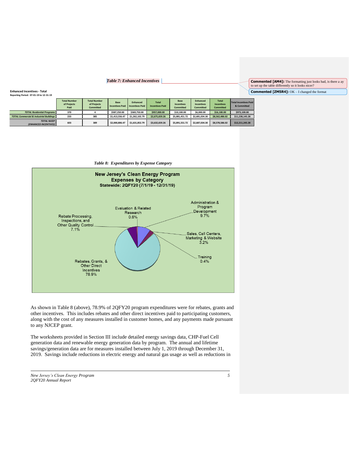### *Table 7: Enhanced Incentives*

**Commented [ZM5R4]:** OK – I changed the format **Commented [AM4]:** The formatting just looks bad, is there a ay to set up the table differently so it looks nicer?

**Enhanced Incentives - Total Reporting Period: 07-01-19 to 12-31-19**

|                                                    | <b>Total Number</b><br>of Projects<br>Paid | <b>Total Number</b><br>of Projects<br><b>Committed</b> | Base<br><b>Incentives Paid</b> | <b>Enhanced</b><br><b>Incentives Paid</b> | <b>Total</b><br><b>Incentives Paid</b> | Base<br><b>Incentives</b><br><b>Committed</b> | <b>Enhanced</b><br><b>Incentives</b><br>Committed | <b>Total</b><br><b>Incentives</b><br><b>Committed</b> | Total Incentives Paid<br>& Committed |
|----------------------------------------------------|--------------------------------------------|--------------------------------------------------------|--------------------------------|-------------------------------------------|----------------------------------------|-----------------------------------------------|---------------------------------------------------|-------------------------------------------------------|--------------------------------------|
| <b>TOTAL Residential Programs</b>                  | 370                                        |                                                        | \$587,250.00                   | \$369,750.00                              | \$957,000.00                           | \$10,100.00                                   | \$6,000.00                                        | \$16,100.00                                           | \$973,100.00                         |
| <b>TOTAL Commercial &amp; Industrial Buildings</b> | 233                                        | 385                                                    | \$1,413,556.47                 | \$1,262,102.79                            | \$2,675,659.26                         | \$5,881,451,72                                | \$2,681,034.30                                    | \$8,562,486.02                                        | \$11.238.145.28                      |
| <b>TOTAL NJCEP</b><br>(ENHANCED INCENTIVES)        | 603                                        | 389                                                    | \$2,000,806.47                 | \$1,631,852.79                            | \$3,632,659.26                         | \$5,891,551,72                                | \$2,687,034.30                                    | \$8,578,586.02                                        | \$12,211,245.28                      |

*Table 8: Expenditures by Expense Category*



As shown in Table 8 (above), 78.9% of 2QFY20 program expenditures were for rebates, grants and other incentives. This includes rebates and other direct incentives paid to participating customers, along with the cost of any measures installed in customer homes, and any payments made pursuant to any NJCEP grant.

The worksheets provided in Section III include detailed energy savings data, CHP-Fuel Cell generation data and renewable energy generation data by program. The annual and lifetime savings/generation data are for measures installed between July 1, 2019 through December 31, 2019. Savings include reductions in electric energy and natural gas usage as well as reductions in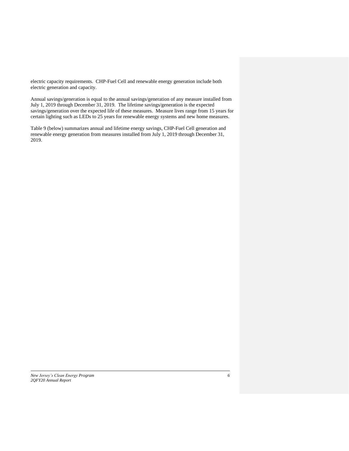electric capacity requirements. CHP-Fuel Cell and renewable energy generation include both electric generation and capacity.

Annual savings/generation is equal to the annual savings/generation of any measure installed from July 1, 2019 through December 31, 2019. The lifetime savings/generation is the expected savings/generation over the expected life of these measures. Measure lives range from 15 years for certain lighting such as LEDs to 25 years for renewable energy systems and new home measures.

Table 9 (below) summarizes annual and lifetime energy savings, CHP-Fuel Cell generation and renewable energy generation from measures installed from July 1, 2019 through December 31, 2019.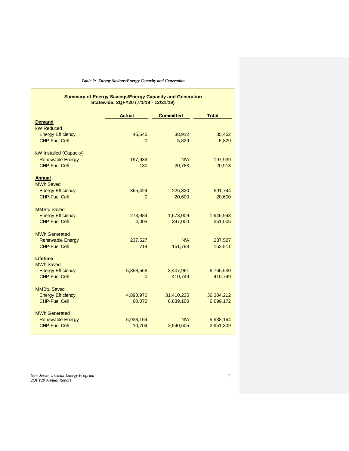| Table 9: Energy Savings/Energy Capacity and Generation |  |  |  |  |  |  |
|--------------------------------------------------------|--|--|--|--|--|--|
|--------------------------------------------------------|--|--|--|--|--|--|

#### **Summary of Energy Savings/Energy Capacity and Generation Statewide: 2QFY20 (7/1/19 - 12/31/19)**

|                                                  | <b>Actual</b>       | <b>Committed</b>        | <b>Total</b>            |  |  |  |
|--------------------------------------------------|---------------------|-------------------------|-------------------------|--|--|--|
| <b>Demand</b>                                    |                     |                         |                         |  |  |  |
| <b>kW Reduced</b>                                |                     |                         |                         |  |  |  |
| <b>Energy Efficiency</b>                         | 46,540              | 38,912                  | 85,452                  |  |  |  |
| <b>CHP-Fuel Cell</b>                             | 0                   | 5,829                   | 5,829                   |  |  |  |
| kW Installed (Capacity)                          |                     |                         |                         |  |  |  |
| <b>Renewable Energy</b>                          | 197,939             | N/A                     | 197,939                 |  |  |  |
| <b>CHP-Fuel Cell</b>                             | 130                 | 20,783                  | 20,913                  |  |  |  |
|                                                  |                     |                         |                         |  |  |  |
| <b>Annual</b>                                    |                     |                         |                         |  |  |  |
| <b>MWh Saved</b>                                 |                     |                         |                         |  |  |  |
| <b>Energy Efficiency</b>                         | 365,424             | 226,320                 | 591,744                 |  |  |  |
| <b>CHP-Fuel Cell</b>                             | 0                   | 20,600                  | 20,600                  |  |  |  |
| <b>MMBtu Saved</b>                               |                     |                         |                         |  |  |  |
| <b>Energy Efficiency</b>                         | 273,984             | 1,673,009               | 1,946,993               |  |  |  |
| <b>CHP-Fuel Cell</b>                             | 4,005               | 347,000                 | 351,005                 |  |  |  |
|                                                  |                     |                         |                         |  |  |  |
| <b>MWh Generated</b>                             |                     |                         |                         |  |  |  |
| <b>Renewable Energy</b>                          | 237,527             | N/A                     | 237,527                 |  |  |  |
| <b>CHP-Fuel Cell</b>                             | 714                 | 151,798                 | 152,511                 |  |  |  |
| <b>Lifetime</b>                                  |                     |                         |                         |  |  |  |
| <b>MWh Saved</b>                                 |                     |                         |                         |  |  |  |
| <b>Energy Efficiency</b>                         | 5,358,568           | 3,407,961               | 8,766,530               |  |  |  |
| <b>CHP-Fuel Cell</b>                             | 0                   | 410,749                 | 410,749                 |  |  |  |
|                                                  |                     |                         |                         |  |  |  |
| <b>MMBtu Saved</b>                               |                     |                         |                         |  |  |  |
| <b>Energy Efficiency</b><br><b>CHP-Fuel Cell</b> | 4,893,976<br>60,072 | 31,410,235<br>6,639,100 | 36,304,212<br>6,699,172 |  |  |  |
|                                                  |                     |                         |                         |  |  |  |
| <b>MWh Generated</b>                             |                     |                         |                         |  |  |  |
| <b>Renewable Energy</b>                          | 5,938,164           | N/A                     | 5,938,164               |  |  |  |
| <b>CHP-Fuel Cell</b>                             | 10,704              | 2,940,605               | 2,951,309               |  |  |  |
|                                                  |                     |                         |                         |  |  |  |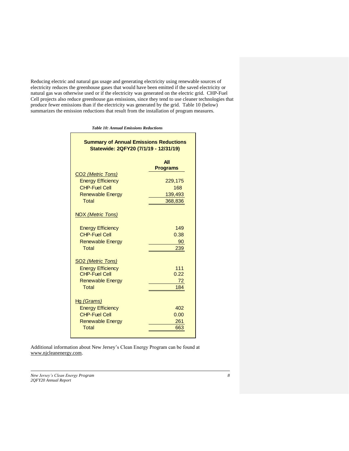Reducing electric and natural gas usage and generating electricity using renewable sources of electricity reduces the greenhouse gases that would have been emitted if the saved electricity or natural gas was otherwise used or if the electricity was generated on the electric grid. CHP-Fuel Cell projects also reduce greenhouse gas emissions, since they tend to use cleaner technologies that produce fewer emissions than if the electricity was generated by the grid. Table 10 (below) summarizes the emission reductions that result from the installation of program measures.

*Table 10: Annual Emissions Reductions*

| All<br><b>Programs</b><br>CO <sub>2</sub> (Metric Tons)<br><b>Energy Efficiency</b><br>229,175<br><b>CHP-Fuel Cell</b><br>168<br><b>Renewable Energy</b><br>139,493<br>Total<br>368,836<br>NOX (Metric Tons)<br><b>Energy Efficiency</b><br>149<br><b>CHP-Fuel Cell</b><br>0.38<br><b>Renewable Energy</b><br>90<br>Total<br>239 | <b>Summary of Annual Emissions Reductions</b><br>Statewide: 2QFY20 (7/1/19 - 12/31/19) |  |  |  |  |  |  |  |  |  |  |
|----------------------------------------------------------------------------------------------------------------------------------------------------------------------------------------------------------------------------------------------------------------------------------------------------------------------------------|----------------------------------------------------------------------------------------|--|--|--|--|--|--|--|--|--|--|
|                                                                                                                                                                                                                                                                                                                                  |                                                                                        |  |  |  |  |  |  |  |  |  |  |
|                                                                                                                                                                                                                                                                                                                                  |                                                                                        |  |  |  |  |  |  |  |  |  |  |
|                                                                                                                                                                                                                                                                                                                                  |                                                                                        |  |  |  |  |  |  |  |  |  |  |
|                                                                                                                                                                                                                                                                                                                                  |                                                                                        |  |  |  |  |  |  |  |  |  |  |
|                                                                                                                                                                                                                                                                                                                                  |                                                                                        |  |  |  |  |  |  |  |  |  |  |
|                                                                                                                                                                                                                                                                                                                                  |                                                                                        |  |  |  |  |  |  |  |  |  |  |
|                                                                                                                                                                                                                                                                                                                                  |                                                                                        |  |  |  |  |  |  |  |  |  |  |
|                                                                                                                                                                                                                                                                                                                                  |                                                                                        |  |  |  |  |  |  |  |  |  |  |
|                                                                                                                                                                                                                                                                                                                                  |                                                                                        |  |  |  |  |  |  |  |  |  |  |
|                                                                                                                                                                                                                                                                                                                                  |                                                                                        |  |  |  |  |  |  |  |  |  |  |
|                                                                                                                                                                                                                                                                                                                                  |                                                                                        |  |  |  |  |  |  |  |  |  |  |
| SO <sub>2</sub> (Metric Tons)                                                                                                                                                                                                                                                                                                    |                                                                                        |  |  |  |  |  |  |  |  |  |  |
| <b>Energy Efficiency</b><br>111                                                                                                                                                                                                                                                                                                  |                                                                                        |  |  |  |  |  |  |  |  |  |  |
| <b>CHP-Fuel Cell</b><br>0.22                                                                                                                                                                                                                                                                                                     |                                                                                        |  |  |  |  |  |  |  |  |  |  |
| <b>Renewable Energy</b><br>72                                                                                                                                                                                                                                                                                                    |                                                                                        |  |  |  |  |  |  |  |  |  |  |
| Total<br>184                                                                                                                                                                                                                                                                                                                     |                                                                                        |  |  |  |  |  |  |  |  |  |  |
| Hg (Grams)                                                                                                                                                                                                                                                                                                                       |                                                                                        |  |  |  |  |  |  |  |  |  |  |
| <b>Energy Efficiency</b><br>402                                                                                                                                                                                                                                                                                                  |                                                                                        |  |  |  |  |  |  |  |  |  |  |
| <b>CHP-Fuel Cell</b><br>0.00                                                                                                                                                                                                                                                                                                     |                                                                                        |  |  |  |  |  |  |  |  |  |  |
| <b>Renewable Energy</b><br>261                                                                                                                                                                                                                                                                                                   |                                                                                        |  |  |  |  |  |  |  |  |  |  |
| Total<br>663                                                                                                                                                                                                                                                                                                                     |                                                                                        |  |  |  |  |  |  |  |  |  |  |

Additional information about New Jersey's Clean Energy Program can be found at [www.njcleanenergy.com.](http://www.njcleanenergy.com/)

*New Jersey's Clean Energy Program 8 2QFY20 Annual Report*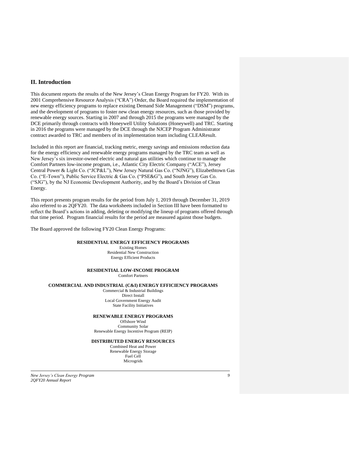## **II. Introduction**

This document reports the results of the New Jersey's Clean Energy Program for FY20. With its 2001 Comprehensive Resource Analysis ("CRA") Order, the Board required the implementation of new energy efficiency programs to replace existing Demand Side Management ("DSM") programs, and the development of programs to foster new clean energy resources, such as those provided by renewable energy sources. Starting in 2007 and through 2015 the programs were managed by the DCE primarily through contracts with Honeywell Utility Solutions (Honeywell) and TRC. Starting in 2016 the programs were managed by the DCE through the NJCEP Program Administrator contract awarded to TRC and members of its implementation team including CLEAResult.

Included in this report are financial, tracking metric, energy savings and emissions reduction data for the energy efficiency and renewable energy programs managed by the TRC team as well as New Jersey's six investor-owned electric and natural gas utilities which continue to manage the Comfort Partners low-income program, i.e., Atlantic City Electric Company ("ACE"), Jersey Central Power & Light Co. ("JCP&L"), New Jersey Natural Gas Co. ("NJNG"), Elizabethtown Gas Co. ("E-Town"), Public Service Electric & Gas Co. ("PSE&G"), and South Jersey Gas Co. ("SJG"), by the NJ Economic Development Authority, and by the Board's Division of Clean Energy.

This report presents program results for the period from July 1, 2019 through December 31, 2019 also referred to as 2QFY20. The data worksheets included in Section III have been formatted to reflect the Board's actions in adding, deleting or modifying the lineup of programs offered through that time period. Program financial results for the period are measured against those budgets.

The Board approved the following FY20 Clean Energy Programs:

#### **RESIDENTIAL ENERGY EFFICIENCY PROGRAMS**

Existing Homes Residential New Construction Energy Efficient Products

#### **RESIDENTIAL LOW-INCOME PROGRAM**

Comfort Partners

#### **COMMERCIAL AND INDUSTRIAL (C&I) ENERGY EFFICIENCY PROGRAMS**

Commercial & Industrial Buildings Direct Install Local Government Energy Audit State Facility Initiatives

#### **RENEWABLE ENERGY PROGRAMS**

Offshore Wind Community Solar Renewable Energy Incentive Program (REIP)

### **DISTRIBUTED ENERGY RESOURCES**

Combined Heat and Power Renewable Energy Storage Fuel Cell Microgrids

*New Jersey's Clean Energy Program 9 2QFY20 Annual Report*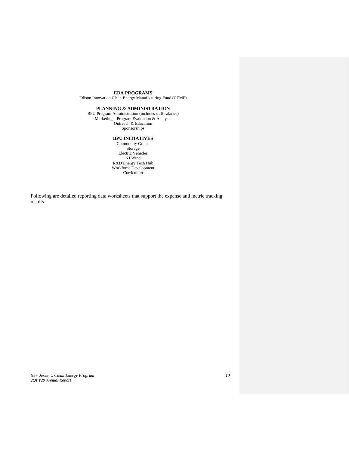#### **EDA PROGRAMS**

Edison Innovation Clean Energy Manufacturing Fund (CEMF)

#### **PLANNING & ADMINISTRATION**

BPU Program Administration (includes staff salaries) Marketing – Program Evaluation & Analysis Outreach & Education Sponsorships

#### **BPU INITIATIVES**

Community Grants Storage Electric Vehicles NJ Wind R&D Energy Tech Hub Workforce Development Curriculum<sup>1</sup>

Following are detailed reporting data worksheets that support the expense and metric tracking results.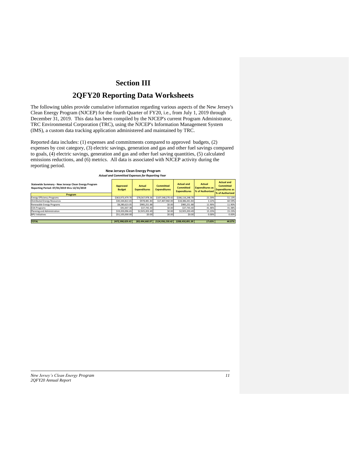## **Section III**

## **2QFY20 Reporting Data Worksheets**

The following tables provide cumulative information regarding various aspects of the New Jersey's Clean Energy Program (NJCEP) for the fourth Quarter of FY20, i.e., from July 1, 2019 through December 31, 2019. This data has been compiled by the NJCEP's current Program Administrator, TRC Environmental Corporation (TRC), using the NJCEP's Information Management System (IMS), a custom data tracking application administered and maintained by TRC.

Reported data includes: (1) expenses and commitments compared to approved budgets, (2) expenses by cost category, (3) electric savings, generation and gas and other fuel savings compared to goals, (4) electric savings, generation and gas and other fuel saving quantities, (5) calculated emissions reductions, and (6) metrics. All data is associated with NJCEP activity during the reporting period.

#### **New Jerseys Clean Energy Program** *Actual and Committed Expenses for Reporting Year*

| Statewide Summary - New Jerseys Clean Energy Program<br>Reporting Period: 07/01/2019 thru 12/31/2019<br><b>Program</b> | Approved<br><b>Budget</b> | <b>Actual</b><br><b>Expenditures</b> | <b>Committed</b><br><b>Expenditures</b> | <b>Actual and</b><br><b>Committed</b><br><b>Expenditures</b> | <b>Actual</b><br><b>Expenditures as</b><br>% of Authorized | <b>Actual and</b><br><b>Committed</b><br><b>Expenditures as</b><br>% of Authorized |
|------------------------------------------------------------------------------------------------------------------------|---------------------------|--------------------------------------|-----------------------------------------|--------------------------------------------------------------|------------------------------------------------------------|------------------------------------------------------------------------------------|
| <b>Energy Efficiency Programs</b>                                                                                      | \$363,973,479.70          | \$78,567,978.36                      | \$107.548.270.42                        | \$186,116,248.78                                             | 21.59%                                                     | 51.13%                                                                             |
| <b>Distributed Energy Resources</b>                                                                                    | \$30.344.822.65           | \$978,481.84                         | \$17,407,960.00                         | \$18,386,441.84                                              | 3.22%                                                      | 60.59%                                                                             |
| Renewable Energy Programs                                                                                              | \$8,280,623,05            | \$985,251.88                         | \$0.00                                  | \$985,251.88                                                 | 11.90%                                                     | 11.90%                                                                             |
| <b>EDA Programs</b>                                                                                                    | \$91,007.38               | \$37,745.40                          | \$0.00                                  | \$37,745.40                                                  | 41.48%                                                     | 41.48%                                                                             |
| Planning and Administration                                                                                            | \$19,203,096.65           | \$2,925,203.49                       | \$0.00                                  | \$2,925,203.49                                               | 15.23%                                                     | 15.23%                                                                             |
| <b>BPU Initiatives</b>                                                                                                 | \$51.105.000.00           | \$0.00                               | \$0.00                                  | \$0.00                                                       | 0.00%                                                      | 0.00%                                                                              |
| <b>TOTAL</b>                                                                                                           | \$472,998,029.43          | \$83,494,660.97                      | \$124,956,230.42                        | \$208,450,891.39                                             | 17.65%                                                     | 44.07%                                                                             |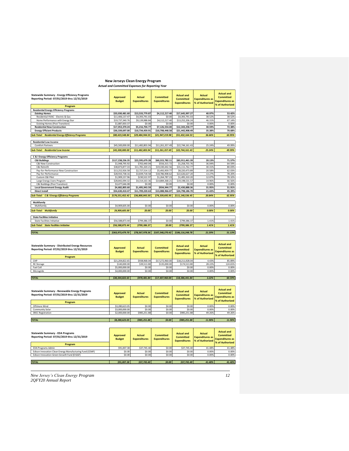## **New Jerseys Clean Energy Program** *Actual and Committed Expenses for Reporting Year*

| <b>Statewide Summary - Energy Efficiency Programs</b><br>Reporting Period: 07/01/2019 thru 12/31/2019 | <b>Approved</b><br><b>Budget</b> | <b>Actual</b><br><b>Expenditures</b> | <b>Committed</b><br><b>Expenditures</b> | <b>Actual and</b><br><b>Committed</b><br><b>Expenditures</b> | Actual<br><b>Expenditures as</b><br>% of Authorized | <b>Actual and</b><br><b>Committed</b><br><b>Expenditures as</b><br>% of Authorized |
|-------------------------------------------------------------------------------------------------------|----------------------------------|--------------------------------------|-----------------------------------------|--------------------------------------------------------------|-----------------------------------------------------|------------------------------------------------------------------------------------|
| Program                                                                                               |                                  |                                      |                                         |                                                              |                                                     |                                                                                    |
| <b>Residential Energy Efficiency Programs</b>                                                         |                                  |                                      |                                         |                                                              |                                                     |                                                                                    |
| <b>Existing Homes</b>                                                                                 | \$33,030,481.60                  | \$13.533.779.87                      | \$4,112,217.40                          | \$17,645,997.27                                              | 40.97%                                              | 53.42%                                                                             |
| Residential HVAC - Electric & Gas                                                                     | \$11,406,137.47                  | \$4,393,791.03                       | \$0.00                                  | \$4,393,791.03                                               | 38.52%                                              | 38.52%                                                                             |
| Home Performance with Energy Star                                                                     | \$19,737,340.76                  | \$9,139,988.84                       | \$4,112,217.40                          | \$13,252,206.24                                              | 46.31%                                              | 67.14%                                                                             |
| <b>Existing Homes (Post Transition)</b>                                                               | \$1,887,003.37                   | \$0.00                               | \$0.00                                  | \$0.00                                                       | 0.00%                                               | 0.00%                                                                              |
| <b>Residential New Construction</b>                                                                   | \$17,053,370.24                  | \$5,216,704.77                       | \$7,126,554.00                          | \$12,343,258.77                                              | 30.59%                                              | 72.38%                                                                             |
| <b>Energy Efficient Products</b>                                                                      | \$30,339,697.00                  | \$10,734,459.91                      | \$10,708,448.58                         | \$21,442,908.49                                              | 35.38%                                              | 70.68%                                                                             |
| <b>Sub-Total: Residential Energy Efficiency Programs</b>                                              | \$80,423,548.84                  | \$29,484,944.55                      | \$21,947,219.98                         | \$51,432,164.53                                              | 36.66%                                              | 63.95%                                                                             |
| <b>Residential Low Income</b>                                                                         |                                  |                                      |                                         |                                                              |                                                     |                                                                                    |
| <b>Comfort Partners</b>                                                                               | \$45,500,000.00                  | \$11,482,803.94                      | \$11,261,357.49                         | \$22,744,161.43                                              | 25.24%                                              | 49.99%                                                                             |
| <b>Sub-Total: Residential Low Income</b>                                                              | \$45,500,000.00                  | \$11,482,803.94                      | \$11,261,357.49                         | \$22,744,161.43                                              | 25.24%                                              | 49.99%                                                                             |
|                                                                                                       |                                  |                                      |                                         |                                                              |                                                     |                                                                                    |
| C & I Energy Efficiency Programs                                                                      |                                  |                                      |                                         |                                                              |                                                     |                                                                                    |
| <b>C&amp;I Buildings</b>                                                                              | \$117.238.236.35                 | \$23,595,679.28                      | \$60.315.782.11                         | \$83.911.461.39                                              | 20.13%                                              | 71.57%                                                                             |
| C&I New Construction                                                                                  | \$1,948,795.92                   | \$702,440.04                         | \$556,315.72                            | \$1,258,755.76                                               | 36.04%                                              | 64.59%                                                                             |
| C&I Retrofit                                                                                          | \$38,873,877.33                  | \$11,781,320.21                      | \$19,330,442.56                         | \$31,111,762.77                                              | 30.31%                                              | 80.03%                                                                             |
| Pay-for-Performance New Construction                                                                  | \$13,252,926.58                  | \$2,727,514.12                       | \$5,492,959.77                          | \$8,220,473.89                                               | 20.58%                                              | 62.03%                                                                             |
| Pay-for-Performance                                                                                   | \$28,933,738.16                  | \$3,839,718.58                       | \$18,786,908.62                         | \$22,626,627.20                                              | 13.27%                                              | 78.20%                                                                             |
| Custom C&I Pilot                                                                                      | \$1,909,157.96                   | \$230,522.97                         | \$1,264,787.23                          | \$1,495,310.20                                               | 12.07%                                              | 78.32%                                                                             |
| Large Energy Users Program                                                                            | \$28,842,094.32                  | \$4,314,163.36                       | \$14,884,368.21                         | \$19,198,531.57                                              | 14.96%                                              | 66.56%                                                                             |
| C&I Buildings (Post Transition)                                                                       | \$3,477,646.08                   | \$0.00                               | \$0.00                                  | \$0.00                                                       | 0.00%                                               | 0.00%                                                                              |
| <b>Local Government Energy Audit</b>                                                                  | \$4,682,805.60                   | \$1,495,943.59                       | \$934.944.77                            | \$2,430,888.36                                               | 31.95%                                              | 51.91%                                                                             |
| <b>Direct Install</b>                                                                                 | \$54,630,410.47                  | \$11,709,220.63                      | \$13,088,966.07                         | \$24,798,186.70                                              | 21.43%                                              | 45.39%                                                                             |
| <b>Sub-Total: C &amp; I Energy Efficiency Programs</b>                                                | \$176,551,452.42                 | \$36,800,843.50                      | \$74.339.692.95                         | \$111.140.536.45                                             | 20.84%                                              | 62.95%                                                                             |
| Multifamily                                                                                           |                                  |                                      |                                         |                                                              |                                                     |                                                                                    |
| Multifamily                                                                                           | \$4,909,605.00                   | \$0.00                               | \$0.00                                  | \$0.00                                                       | 0.00%                                               | 0.00%                                                                              |
| <b>Sub-Total: Multifamily</b>                                                                         | \$4,909,605.00                   | \$0.00                               | \$0.00                                  | \$0.00                                                       | 0.00%                                               | 0.00%                                                                              |
| <b>State Facilities Initiative</b>                                                                    |                                  |                                      |                                         |                                                              |                                                     |                                                                                    |
| <b>State Facilities Initiative</b>                                                                    | \$56,588,873.44                  | \$799,386.37                         | \$0.00                                  | \$799,386.37                                                 | 1.41%                                               | 1.41%                                                                              |
| <b>Sub-Total: State Facilities Initiative</b>                                                         | \$56,588,873.44                  | \$799,386.37                         | \$0.00                                  | \$799,386.37                                                 | 1.41%                                               | 1.41%                                                                              |
|                                                                                                       |                                  |                                      |                                         |                                                              |                                                     |                                                                                    |
| <b>TOTAL</b>                                                                                          | \$363.973.479.70                 | \$78,567,978.36                      | \$107.548.270.42                        | \$186,116,248,78                                             | 21.59%                                              | 51.13%                                                                             |

| Statewide Summary - Distributed Energy Resources<br>Reporting Period: 07/01/2019 thru 12/31/2019<br><b>Program</b> | <b>Approved</b><br><b>Budget</b> | <b>Actual</b><br><b>Expenditures</b> | <b>Committed</b><br><b>Expenditures</b> | <b>Actual and</b><br><b>Committed</b><br><b>Expenditures</b> | <b>Actual</b><br><b>Expenditures as</b><br>% of Authorized | <b>Actual and</b><br><b>Committed</b><br><b>Expenditures as</b><br>% of Authorized |  |
|--------------------------------------------------------------------------------------------------------------------|----------------------------------|--------------------------------------|-----------------------------------------|--------------------------------------------------------------|------------------------------------------------------------|------------------------------------------------------------------------------------|--|
| CHP                                                                                                                | \$21.204.822.65                  | \$938,968.04                         | \$17,272,960.00                         | \$18,211,928.04                                              | 4.43%                                                      | 85.89%                                                                             |  |
| <b>RE</b> Storage                                                                                                  | \$140,000.00                     | \$39,513.80                          | \$135,000.00                            | \$174.513.80                                                 | 28.22%                                                     | 124.65%                                                                            |  |
| Fuel Cell                                                                                                          | \$5,000,000,00                   | \$0.00                               | \$0.00                                  | \$0.00                                                       | 0.00%                                                      | 0.00%                                                                              |  |
| Microgrids                                                                                                         | \$4,000,000,00                   | \$0.00                               | \$0.00                                  | \$0.00                                                       | 0.00%                                                      | 0.00%                                                                              |  |
|                                                                                                                    |                                  |                                      |                                         |                                                              |                                                            |                                                                                    |  |
| <b>TOTAL</b>                                                                                                       | \$30,344,822.65                  | \$978,481.84                         | \$17,407,960.00                         | \$18,386,441.84                                              | 3.22%                                                      | 60.59%                                                                             |  |

| Statewide Summary - Renewable Energy Programs<br>Reporting Period: 07/01/2019 thru 12/31/2019<br>Program | <b>Approved</b><br><b>Budget</b> | <b>Actual</b><br><b>Expenditures</b> | <b>Committed</b><br><b>Expenditures</b> | <b>Actual and</b><br><b>Committed</b><br><b>Expenditures</b> | <b>Actual</b><br><b>Expenditures as</b><br>% of Authorized | <b>Actual and</b><br><b>Committed</b><br><b>Expenditures as</b><br>% of Authorized |  |
|----------------------------------------------------------------------------------------------------------|----------------------------------|--------------------------------------|-----------------------------------------|--------------------------------------------------------------|------------------------------------------------------------|------------------------------------------------------------------------------------|--|
| Offshore Wind                                                                                            | \$3,280,623.05                   | \$0.00                               | \$0.00                                  | \$0.00                                                       | 0.00%                                                      | 0.00%                                                                              |  |
| Community Solar                                                                                          | \$3,000,000,00                   | \$0.00                               | \$0.00                                  | \$0.00                                                       | 0.00%                                                      | 0.00%                                                                              |  |
| <b>SREC Registration</b>                                                                                 | \$2,000,000,00                   | \$985,251.88                         | \$0.00                                  | \$985,251.88                                                 | 49.26%                                                     | 49.26%                                                                             |  |
|                                                                                                          |                                  |                                      |                                         |                                                              |                                                            |                                                                                    |  |
| <b>TOTAL</b>                                                                                             | \$8,280,623,05                   | \$985,251.88                         | \$0.00                                  | \$985,251.88                                                 | 11.90%                                                     | 11.90%                                                                             |  |

| <b>Statewide Summary - EDA Programs</b><br>Reporting Period: 07/01/2019 thru 12/31/2019<br>Program | <b>Approved</b><br><b>Budget</b> | <b>Actual</b><br><b>Expenditures</b> | <b>Committed</b><br><b>Expenditures</b> | <b>Actual and</b><br><b>Committed</b><br><b>Expenditures</b> | <b>Actual</b><br><b>Expenditures as</b><br>% of Authorized | <b>Actual and</b><br><b>Committed</b><br><b>Expenditures as</b><br>% of Authorized |  |
|----------------------------------------------------------------------------------------------------|----------------------------------|--------------------------------------|-----------------------------------------|--------------------------------------------------------------|------------------------------------------------------------|------------------------------------------------------------------------------------|--|
| <b>EDA Programs Admin</b>                                                                          | \$91,007.38                      | \$37,745.40                          | \$0.00                                  | \$37,745.40                                                  | 41.48%                                                     | 41.48%                                                                             |  |
| Edison Innovation Clean Energy Manufacturing Fund (CEMF)                                           | \$0.00                           | \$0.00                               | \$0.00                                  | \$0.00                                                       | 0.00%                                                      | 0.00%                                                                              |  |
| Edison Innovation Green Growth Fund (EIGGF)                                                        | \$0.00                           | \$0.00                               | \$0.00                                  | \$0.00                                                       | 0.00%                                                      | 0.00%                                                                              |  |
|                                                                                                    |                                  |                                      |                                         |                                                              |                                                            |                                                                                    |  |
| <b>TOTAL</b>                                                                                       | \$91,007.38                      | \$37,745.40                          | \$0.00                                  | \$37,745.40                                                  | 41.48%                                                     | 41.48%                                                                             |  |

*New Jersey's Clean Energy Program 12 2 QFY20 Annual Report*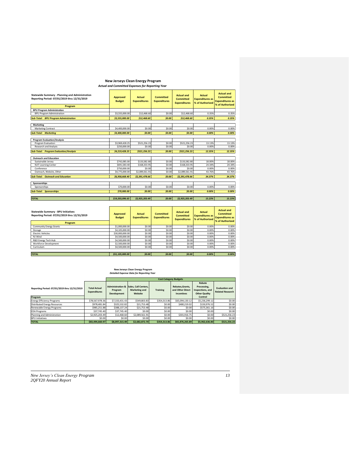#### **New Jerseys Clean Energy Program** *Actual and Committed Expenses for Reporting Year*

| <b>Statewide Summary - Planning and Administration</b><br>Reporting Period: 07/01/2019 thru 12/31/2019 | <b>Actual</b><br><b>Approved</b><br><b>Expenditures</b><br><b>Budget</b> |                | Committed<br><b>Expenditures</b> | <b>Actual and</b><br>Committed<br><b>Expenditures</b> | Actual<br><b>Expenditures as</b><br>% of Authorized | <b>Actual and</b><br>Committed<br><b>Expenditures as</b><br>% of Authorized |  |
|--------------------------------------------------------------------------------------------------------|--------------------------------------------------------------------------|----------------|----------------------------------|-------------------------------------------------------|-----------------------------------------------------|-----------------------------------------------------------------------------|--|
| Program                                                                                                |                                                                          |                |                                  |                                                       |                                                     |                                                                             |  |
| <b>BPU Program Administration</b>                                                                      |                                                                          |                |                                  |                                                       |                                                     |                                                                             |  |
| <b>BPU Program Administration</b>                                                                      | \$3,555,000.00                                                           | \$12,468.60    | \$0.00                           | \$12,468.60                                           | 0.35%                                               | 0.35%                                                                       |  |
| <b>Sub-Total: BPU Program Administration</b>                                                           | \$3,555,000.00                                                           | \$12,468.60    | \$0.00                           | \$12,468.60                                           | 0.35%                                               | 0.35%                                                                       |  |
|                                                                                                        |                                                                          |                |                                  |                                                       |                                                     |                                                                             |  |
| Marketing                                                                                              |                                                                          |                |                                  |                                                       |                                                     |                                                                             |  |
| <b>Marketing Contract</b>                                                                              | \$4,400,000.00                                                           | \$0.00         | \$0.00                           | \$0.00                                                | 0.00%                                               | 0.00%                                                                       |  |
| <b>Sub-Total: Marketing</b>                                                                            | \$4,400,000.00                                                           | \$0.00         | \$0.00                           | \$0.00                                                | 0.00%                                               | 0.00%                                                                       |  |
|                                                                                                        |                                                                          |                |                                  |                                                       |                                                     |                                                                             |  |
| <b>Program Evaluation/Analysis</b>                                                                     |                                                                          |                |                                  |                                                       |                                                     |                                                                             |  |
| Program Evaluation                                                                                     | \$3,969,428.25                                                           | \$521.256.23   | \$0.00                           | \$521,256.23                                          | 13.13%                                              | 13.13%                                                                      |  |
| <b>Research and Analysis</b>                                                                           | \$250,000,00                                                             | \$0.00         | \$0.00                           | \$0.00                                                | 0.00%                                               | 0.00%                                                                       |  |
| <b>Sub-Total: Program Evaluation/Analysis</b>                                                          | \$4,219,428.25                                                           | \$521,256.23   | \$0.00                           | \$521.256.23                                          | 12.35%                                              | 12.35%                                                                      |  |
|                                                                                                        |                                                                          |                |                                  |                                                       |                                                     |                                                                             |  |
| <b>Outreach and Education</b>                                                                          |                                                                          |                |                                  |                                                       |                                                     |                                                                             |  |
| Sustainable Jersey                                                                                     | \$742,085,00                                                             | \$133,582.80   | \$0.00                           | \$133,582.80                                          | 18.00%                                              | 18.00%                                                                      |  |
| <b>NJIT Learning Center</b>                                                                            | \$691,583.40                                                             | \$168,333.95   | \$0.00                           | \$168,333.95                                          | 24.34%                                              | 24.34%                                                                      |  |
| Conference                                                                                             | \$750,000.00                                                             | \$0.00         | \$0.00                           | \$0.00                                                | 0.00%                                               | 0.00%                                                                       |  |
| Outreach, Website, Other                                                                               | \$4,775,000.00                                                           | \$2,089.561.91 | \$0.00                           | \$2,089,561.91                                        | 43.76%                                              | 43.76%                                                                      |  |
| <b>Sub-Total: Outreach and Education</b>                                                               | \$6,958,668,40                                                           | \$2,391,478.66 | \$0.00                           | \$2,391,478.66                                        | 34.37%                                              | 34.37%                                                                      |  |
|                                                                                                        |                                                                          |                |                                  |                                                       |                                                     |                                                                             |  |
| Sponsorships                                                                                           |                                                                          |                |                                  |                                                       |                                                     |                                                                             |  |
| Sponsorships                                                                                           | \$70,000.00                                                              | \$0.00         | \$0.00                           | \$0.00                                                | 0.00%                                               | 0.00%                                                                       |  |
| <b>Sub-Total: Sponsorships</b>                                                                         | \$70,000.00                                                              | \$0.00         | \$0.00                           | \$0.00                                                | 0.00%                                               | 0.00%                                                                       |  |
|                                                                                                        |                                                                          |                |                                  |                                                       |                                                     |                                                                             |  |
| <b>TOTAL</b>                                                                                           | \$19,203,096.65                                                          | \$2,925,203.49 | \$0.00                           | \$2,925,203.49                                        | 15.23%                                              | 15.23%                                                                      |  |

| <b>Statewide Summary - BPU Initiatives</b><br>Reporting Period: 07/01/2019 thru 12/31/2019<br>Program | Approved<br><b>Budget</b> | <b>Actual</b><br><b>Expenditures</b> | <b>Committed</b><br><b>Expenditures</b> | <b>Actual and</b><br><b>Committed</b><br><b>Expenditures</b> | <b>Actual</b><br><b>Expenditures as</b><br>% of Authorized | <b>Actual and</b><br><b>Committed</b><br><b>Expenditures as</b><br>% of Authorized |  |
|-------------------------------------------------------------------------------------------------------|---------------------------|--------------------------------------|-----------------------------------------|--------------------------------------------------------------|------------------------------------------------------------|------------------------------------------------------------------------------------|--|
| <b>Community Energy Grants</b>                                                                        | \$1,000,000,00            | \$0.00                               | \$0.00                                  | \$0.00                                                       | 0.00%                                                      | 0.00%                                                                              |  |
| Storage                                                                                               | \$4,105,000,00            | \$0.00                               | \$0.00                                  | \$0.00                                                       | 0.00%                                                      | 0.00%                                                                              |  |
| <b>Electric Vehicles</b>                                                                              | \$30,000,000,00           | \$0.00                               | \$0.00                                  | \$0.00                                                       | 0.00%                                                      | 0.00%                                                                              |  |
| NJ Wind                                                                                               | \$4,500,000,00            | \$0.00                               | \$0.00                                  | \$0.00                                                       | 0.00%                                                      | 0.00%                                                                              |  |
| R&D Energy Tech Hub                                                                                   | \$4,500,000,00            | \$0.00                               | \$0.00                                  | \$0.00                                                       | 0.00%                                                      | 0.00%                                                                              |  |
| Workforce Development                                                                                 | \$2,500,000,00            | \$0.00                               | \$0.00                                  | \$0.00                                                       | 0.00%                                                      | 0.00%                                                                              |  |
| Curriculum                                                                                            | \$4,500,000,00            | \$0.00                               | \$0.00                                  | \$0.00                                                       | 0.00%                                                      | 0.00%                                                                              |  |
|                                                                                                       |                           |                                      |                                         |                                                              |                                                            |                                                                                    |  |
| <b>TOTAL</b>                                                                                          | \$51,105,000.00           | \$0.00                               | \$0.00                                  | 50.00                                                        | 0.00%                                                      | 0.00%                                                                              |  |

## **New Jerseys Clean Energy Program** *Detailed Expense Data for Reporting Year*

|                                                         |                                            |                                                              |                                                  |                 | <b>Cost Category Budgets</b>                             |                                                                              |                                                  |
|---------------------------------------------------------|--------------------------------------------|--------------------------------------------------------------|--------------------------------------------------|-----------------|----------------------------------------------------------|------------------------------------------------------------------------------|--------------------------------------------------|
| Reporting Period: 07/01/2019 thru 12/31/2019<br>Program | <b>Total Actual</b><br><b>Expenditures</b> | <b>Administration &amp;</b><br>Program<br><b>Development</b> | Sales, Call Centers.<br>Marketing and<br>Website | <b>Training</b> | Rebates.Grants.<br>and Other Direct<br><b>Incentives</b> | Rebate<br>Processing.<br>Inspections, and<br><b>Other Quality</b><br>Control | <b>Evaluation and</b><br><b>Related Research</b> |
| <b>Energy Efficiency Programs</b>                       | \$78,567,978.36                            | \$7,333,431.43                                               | \$549,803.83                                     | \$354,313.86    | \$65.094.130.12                                          | \$5,236,299.12                                                               | \$0.00                                           |
| <b>Distributed Energy Resources</b>                     | \$978,481.84                               | \$325.532.82                                                 | \$21,753.48                                      | \$0.00          | \$480,219.02                                             | \$150,976.52                                                                 | \$0.00                                           |
| Renewable Energy Programs                               | \$985.251.88                               | \$388,137.24                                                 | \$21,753.48                                      | \$0.00          | \$0.00                                                   | \$575.361.16                                                                 | \$0.00                                           |
| <b>EDA</b> Programs                                     | \$37,745.40                                | \$37,745.40                                                  | \$0.00                                           | \$0.00          | \$0.00                                                   | \$0.00                                                                       | \$0.00                                           |
| Planning and Administration                             | \$2,925,203,49                             | \$12,468.60                                                  | \$2.089.561.91                                   | \$0.00          | \$301,916.75                                             | \$0.00                                                                       | \$521,256.23                                     |
| <b>BPU Initiatives</b>                                  | \$0.00                                     | \$0.00                                                       | \$0.00                                           | \$0.00          | \$0.00                                                   | \$0.00                                                                       | \$0.00                                           |
| <b>TOTAL</b>                                            | \$83,494,660.97                            | \$8.097.315.49                                               | \$2.682.872.70                                   | \$354,313.86    | \$65,876,265,89                                          | \$5,962,636,80                                                               | \$521,256.23                                     |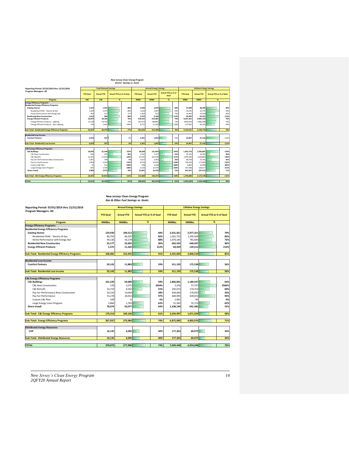#### **New Jerseys Clean Energy Program** *Electric Savings vs. Goals*

| Reporting Period: 07/01/2019 thru 12/31/2019             |                 | <b>Peak Demand Savings</b> |                                |      | <b>Annual Energy Savings</b>         |            |                            |      | <b>Lifetime Energy Savings</b> |                                                     |   |      |
|----------------------------------------------------------|-----------------|----------------------------|--------------------------------|------|--------------------------------------|------------|----------------------------|------|--------------------------------|-----------------------------------------------------|---|------|
| <b>Program Managers: All</b>                             | <b>YTD Goal</b> | <b>Actual YTD</b>          | <b>Actual YTD as % of Goal</b> |      | <b>Actual YTD</b><br><b>YTD Goal</b> |            | Actual YTD as % of<br>Goal |      | <b>YTD Goal</b>                | <b>Actual YTD as % of Goal</b><br><b>Actual YTD</b> |   |      |
| Program                                                  | kW              | kW                         | $\frac{96}{25}$                |      | <b>MWh</b>                           | <b>MWh</b> | %                          |      | <b>MWh</b>                     | <b>MWh</b>                                          | % |      |
| <b>Energy Efficiency Programs</b>                        |                 |                            |                                |      |                                      |            |                            |      |                                |                                                     |   |      |
| <b>Residential Energy Efficiency Programs</b>            |                 |                            |                                |      |                                      |            |                            |      |                                |                                                     |   |      |
| <b>Existing Homes</b>                                    | 1.619           | 1.391                      |                                | 86%  | 2.920                                | 2.459      |                            | 84%  | 47.698                         | 38.296                                              |   | 80%  |
| Residential HVAC - Flectric & Gas                        | 1.209           | 1.074                      |                                | 89%  | 1.619                                | 1.487      |                            | 92%  | 24.235                         | 22.737                                              |   | 94%  |
| Home Performance with Energy Star                        | 410             | 317                        |                                | 77%  | 1,301                                | 972        |                            | 75%  | 23,463                         | 15.559                                              |   | 66%  |
| <b>Residential New Construction</b>                      | 1.014           | 906                        |                                | 89%  | 2,475                                | 2,768      |                            | 112% | 49.493                         | 55.351                                              |   | 112% |
| <b>Energy Efficient Products</b>                         | 23.874          | 18.183                     |                                | 76%  | 276,431                              | 210.082    |                            | 76%  | 4,037,361                      | 3,065,129                                           |   | 76%  |
| <b>Energy Efficient Products - Lighting</b>              | 23,118          | 16,702                     |                                | 72%  | 267,674                              | 198,863    |                            | 74%  | 3.909.459                      | 2,982,938                                           |   | 76%  |
| Energy Efficient Products - Non-Lighting                 | 756             | 1.481                      |                                | 196% | 8.757                                | 11.220     |                            | 128% | 127,901                        | 82.191                                              |   | 64%  |
| <b>Sub-Total: Residential Energy Efficiency Programs</b> | 26.507          | 20.479                     |                                | 77%  | 281.825                              | 215,309    |                            | 76%  | 4.134.551                      | 3.158.776                                           |   | 76%  |
| <b>Residential Low Income</b>                            |                 |                            |                                |      |                                      |            |                            |      |                                |                                                     |   |      |
| <b>Comfort Partners</b>                                  |                 |                            |                                |      |                                      |            |                            | 55%  |                                |                                                     |   |      |
|                                                          | 4.033           | 247                        |                                | 6%   | 3.361                                | 1.843      |                            |      | 24,407                         | 27,416                                              |   | 117% |
| Sub-Total: Residential Low Income                        | 4.033           | 247                        |                                | 6%   | 3.361                                | 1.843      |                            | 55%  | 24.407                         | 27,416                                              |   | 112% |
| <b>C&amp;I Energy Efficiency Programs</b>                |                 |                            |                                |      |                                      |            |                            |      |                                |                                                     |   |      |
| <b>C&amp;I Buildings</b>                                 | 18.092          | 22.340                     |                                | 123% | 90.828                               | 131,834    |                            | 145% | 1.452.753                      | 1.930.801                                           |   | 133% |
| C&I New Construction                                     | 504             | 202                        |                                | 40%  | 2.761                                | 1.127      |                            | 41%  | 55.142                         | 16.781                                              |   | 30%  |
| C&I Retrofit                                             | 12.342          | 17,819                     |                                | 144% | 67.325                               | 101.978    |                            | 151% | 1.059.166                      | 1.436.803                                           |   | 136% |
| Pay-for-Performance New Construction                     | 2.401           | 109                        |                                | 5%   | 5.617                                | 1.992      |                            | 35%  | 89,764                         | 37.761                                              |   | 42%  |
| Pay-for-Performance                                      | 1.964           | 2.343                      |                                | 119% | 8.524                                | 10.932     |                            | 128% | 134,510                        | 177,830                                             |   | 132% |
| Custom C&I Pilot                                         | 55              | 331                        |                                | 598% | 438                                  | 2.228      |                            | 508% | 6.892                          | 33,408                                              |   | 485% |
| Large Energy Users Program                               | 825             | 1.536                      |                                | 186% | 6.162                                | 13,576     |                            | 220% | 107,280                        | 228.217                                             |   | 213% |
| <b>Direct Install</b>                                    | 4.980           | 3.474                      |                                | 70%  | 22.841                               | 16.439     |                            | 72%  | 341.927                        | 241.575                                             |   | 71%  |
| <b>Sub-Total: C&amp;I Energy Efficiency Programs</b>     | 23.072          | 25.814                     |                                | 112% | 113,669                              | 148,272    |                            | 130% | 1.794.680                      | 2.172.376                                           |   | 121% |
| <b>TOTAL</b>                                             | 53.613          | 46.540                     |                                | 87%  | 398,855                              | 365,424    |                            | 92%  | 5.953.639                      | 5.358.568                                           |   | 90%  |

## **New Jerseys Clean Energy Program** *Gas & Other Fuel Savings vs. Goals*

| Reporting Period: 07/01/2019 thru 12/31/2019             |                 | <b>Annual Energy Savings</b> |                                |       |                 | <b>Lifetime Energy Savings</b> |                                |       |  |
|----------------------------------------------------------|-----------------|------------------------------|--------------------------------|-------|-----------------|--------------------------------|--------------------------------|-------|--|
| <b>Program Managers: All</b>                             | <b>YTD Goal</b> | <b>Actual YTD</b>            | <b>Actual YTD as % of Goal</b> |       | <b>YTD Goal</b> | <b>Actual YTD</b>              | <b>Actual YTD as % of Goal</b> |       |  |
|                                                          |                 |                              |                                |       |                 |                                |                                |       |  |
| Program                                                  | <b>MMBtu</b>    | <b>MMBtu</b>                 | %                              |       | <b>MMBtu</b>    | <b>MMBtu</b>                   | %                              |       |  |
| <b>Energy Efficiency Programs</b>                        |                 |                              |                                |       |                 |                                |                                |       |  |
| <b>Residential Energy Efficiency Programs</b>            |                 |                              |                                |       |                 |                                |                                |       |  |
| <b>Existing Homes</b>                                    | 129,930         | 109,512                      |                                | 84%   | 2,631,921       | 2,077,251                      |                                | 79%   |  |
| Residential HVAC - Electric & Gas                        | 80.793          | 66.335                       |                                | 82%   | 1.561.735       | 1.295.569                      |                                | 83%   |  |
| Home Performance with Energy Star                        | 49,136          | 43,178                       |                                | 88%   | 1,070,185       | 781,683                        |                                | 73%   |  |
| <b>Residential New Construction</b>                      | 33,177          | 32,002                       |                                | 96%   | 663,543         | 640,047                        |                                | 96%   |  |
| <b>Energy Efficient Products</b>                         | 5,375           | 11,420                       |                                | 212%  | 60,429          | 129,212                        |                                | 214%  |  |
| <b>Sub-Total: Residential Energy Efficiency Programs</b> | 168,481         | 152,935                      |                                | 91%   | 3,355,893       | 2,846,510                      |                                | 85%   |  |
| <b>Residential Low Income</b>                            |                 |                              |                                |       |                 |                                |                                |       |  |
| <b>Comfort Partners</b>                                  | 20,142          | 11,883                       |                                | 59%   | 311,195         | 175,538                        |                                | 56%   |  |
| <b>Sub-Total: Residential Low Income</b>                 | 20,142          | 11,883                       |                                | 59%   | 311,195         | 175.538                        |                                | 56%   |  |
| <b>C&amp;I Energy Efficiency Programs</b>                |                 |                              |                                |       |                 |                                |                                |       |  |
| <b>C&amp;I Buildings</b>                                 | 101.239         | 59.089                       |                                | 58%   | 1,866,801       | 1,180,547                      |                                | 63%   |  |
| C&I New Construction                                     | 118             | 3,575                        |                                | 3034% | 2,250           | 57,747                         |                                | 2566% |  |
| C&I Retrofit                                             | 16.719          | 9.262                        |                                | 55%   | 292.073         | 174,752                        |                                | 60%   |  |
| Pay-for-Performance New Construction                     | 50,150          | 14,044                       |                                | 28%   | 834,000         | 276,935                        |                                | 33%   |  |
| Pay-for-Performance                                      | 31,278          | 30.451                       |                                | 97%   | 684,995         | 639,472                        |                                | 93%   |  |
| Custom C&I Pilot                                         | 109             | $-6$                         |                                | $-5%$ | 1,901           | $-85$                          |                                | $-4%$ |  |
| Large Energy Users Program                               | 2.866           | 1.763                        |                                | 62%   | 51.582          | 31.725                         |                                | 62%   |  |
| <b>Direct Install</b>                                    | 78,074          | 50,077                       |                                | 64%   | 1,338,196       | 691,382                        |                                | 52%   |  |
|                                                          |                 |                              |                                |       |                 |                                |                                |       |  |
| <b>Sub-Total: C&amp;I Energy Efficiency Programs</b>     | 179,314         | 109,166                      |                                | 61%   | 3,204,997       | 1,871,929                      |                                | 58%   |  |
| <b>Sub-Total: Energy Efficiency Programs</b>             | 367.937         | 273,984                      |                                | 74%   | 6,872,085       | 4,893,976                      |                                | 71%   |  |
|                                                          |                 |                              |                                |       |                 |                                |                                |       |  |
| <b>Distributed Energy Resources</b>                      |                 |                              |                                |       |                 |                                |                                |       |  |
| CHP                                                      | 10,135          | 4,005                        |                                | 40%   | 177,363         | 60,072                         |                                | 34%   |  |
| <b>Sub-Total: Distributed Energy Resources</b>           | 10,135          | 4,005                        |                                | 40%   | 177,363         | 60,072                         |                                | 34%   |  |
| <b>TOTAL</b>                                             |                 |                              |                                |       |                 |                                |                                | 70%   |  |
|                                                          | 378,072         | 277,988                      |                                | 74%   | 7,049,448       | 4,954,048                      |                                |       |  |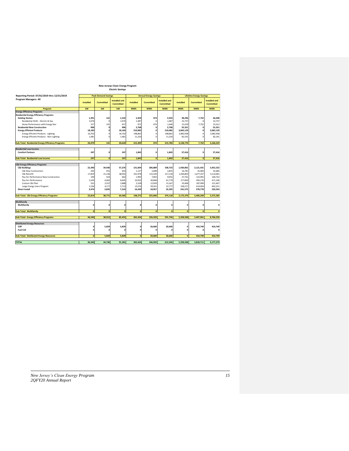### *Electric Savings* **New Jerseys Clean Energy Program**

| Reporting Period: 07/01/2019 thru 12/31/2019             |                  | <b>Peak Demand Savings</b> |                                   |                  | <b>Annual Energy Savings</b> |                                   |                  | <b>Lifetime Energy Savings</b> |                      |
|----------------------------------------------------------|------------------|----------------------------|-----------------------------------|------------------|------------------------------|-----------------------------------|------------------|--------------------------------|----------------------|
| <b>Program Managers: All</b>                             | <b>Installed</b> | Committed                  | <b>Installed and</b><br>Committed | <b>Installed</b> | <b>Committed</b>             | <b>Installed and</b><br>Committed | <b>Installed</b> | <b>Committed</b>               | <b>Installed and</b> |
|                                                          |                  |                            |                                   |                  |                              |                                   |                  |                                | <b>Committed</b>     |
| Program                                                  | kW               | kW                         | kW                                | <b>MWh</b>       | <b>MWh</b>                   | <b>MWh</b>                        | <b>MWh</b>       | <b>MWh</b>                     | <b>MWh</b>           |
| <b>Energy Efficiency Programs</b>                        |                  |                            |                                   |                  |                              |                                   |                  |                                |                      |
| <b>Residential Energy Efficiency Programs</b>            |                  |                            |                                   |                  |                              |                                   |                  |                                |                      |
| <b>Existing Homes</b>                                    | 1.391            | 141                        | 1,532                             | 2.459            | 474                          | 2.933                             | 38,296           | 7.752                          | 46.048               |
| Residential HVAC - Electric & Gas                        | 1.074            | $\Omega$                   | 1,074                             | 1,487            | $\Omega$                     | 1,487                             | 22,737           |                                | 22,737               |
| Home Performance with Energy Star                        | 317              | 141                        | 457                               | 972              | 474                          | 1,446                             | 15,559           | 7,752                          | 23,312               |
| <b>Residential New Construction</b>                      | 906              | $\Omega$                   | 906                               | 2.768            | $\mathbf{0}$                 | 2,768                             | 55,351           | 0                              | 55,351               |
| <b>Energy Efficient Products</b>                         | 18,183           | n                          | 18.183                            | 210,082          | $\mathbf{0}$                 | 210,082                           | 3,065,129        | 0                              | 3,065,129            |
| <b>Energy Efficient Products - Lighting</b>              | 16,702           | $\Omega$                   | 16.702                            | 198,863          | $\mathbf 0$                  | 198.863                           | 2,982,938        | $\overline{0}$                 | 2,982,938            |
| <b>Energy Efficient Products - Non-Lighting</b>          | 1.481            | $\Omega$                   | 1.481                             | 11.220           | $\mathbf 0$                  | 11.220                            | 82,191           | $\mathbf 0$                    | 82.191               |
| <b>Sub-Total: Residential Energy Efficiency Programs</b> | 20.479           | 141                        | 20.620                            | 215,309          | 474                          | 215.783                           | 3,158,776        | 7,752                          | 3,166,529            |
| <b>Residential Low Income</b>                            |                  |                            |                                   |                  |                              |                                   |                  |                                |                      |
| <b>Comfort Partners</b>                                  | 247              | $\mathbf 0$                | 247                               | 1.843            | $\mathbf{0}$                 | 1.843                             | 27.416           | 0                              | 27,416               |
| Sub-Total: Residential Low Income                        | 247              | $\mathbf{0}$               | 247                               | 1,843            | $\mathbf{0}$                 | 1,843                             | 27,416           | $\bullet$                      | 27,416               |
| <b>C&amp;I Energy Efficiency Programs</b>                |                  |                            |                                   |                  |                              |                                   |                  |                                |                      |
| <b>C&amp;I Buildings</b>                                 | 22.340           | 34,936                     | 57.276                            | 131,834          | 206.889                      | 338.723                           | 1,930,801        | 3,121,431                      | 5,052,232            |
| C&I New Construction                                     | 202              | 451                        | 653                               | 1.127            | 1.698                        | 2.825                             | 16.781           | 25.904                         | 42,685               |
| C&I Retrofit                                             | 17.819           | 21.136                     | 38.955                            | 101.978          | 115,140                      | 217.118                           | 1,436,803        | 1.677.257                      | 3,114,061            |
| Pay-for-Performance New Construction                     | 109              | 553                        | 662                               | 1,992            | 7,063                        | 9,055                             | 37,761           | 122,991                        | 160,752              |
| Pay-for-Performance                                      | 2.343            | 6,062                      | 8.405                             | 10,932           | 30,848                       | 41.779                            | 177,830          | 493,276                        | 671,106              |
| Custom C&I Pilot                                         | 331              | 2,557                      | 2.888                             | 2,228            | 12,939                       | 15,167                            | 33,408           | 187,999                        | 221,407              |
| Large Energy Users Program                               | 1,536            | 4,177                      | 5,713                             | 13,576           | 39,201                       | 52,777                            | 228,217          | 614,004                        | 842,221              |
| <b>Direct Install</b>                                    | 3,474            | 3,835                      | 7,310                             | 16,439           | 18,957                       | 35,395                            | 241,575          | 278,778                        | 520,354              |
| Sub-Total: C&I Energy Efficiency Programs                | 25.814           | 38,771                     | 64,585                            | 148,272          | 225,846                      | 374,118                           | 2,172,376        | 3,400,209                      | 5,572,585            |
| Multifamily                                              |                  |                            |                                   |                  |                              |                                   |                  |                                |                      |
| Multifamily                                              | 0                | $\mathbf 0$                |                                   | 0                | $\mathbf{0}$                 | O                                 | $\mathbf 0$      | 0                              | O                    |
| <b>Sub-Total: Multifamily</b>                            | $\mathbf{o}$     | $\hat{\mathbf{0}}$         | $\Omega$                          | $\mathbf{0}$     | $\mathbf{0}$                 | $\mathbf{0}$                      | $\mathbf{o}$     | $\mathbf{0}$                   | $\Omega$             |
| <b>Sub-Total: Energy Efficiency Programs</b>             | 46.540           | 38.912                     | 85.452                            | 365.424          | 226.320                      | 591.744                           | 5.358.568        | 3.407.961                      | 8.766.530            |
| <b>Distributed Energy Resources</b>                      |                  |                            |                                   |                  |                              |                                   |                  |                                |                      |
| CHP                                                      | $\Omega$         | 5.829                      | 5.829                             | O                | 20,600                       | 20,600                            | 0                | 410.749                        | 410.749              |
| <b>Fuel Cell</b>                                         | $\mathbf 0$      | $\Omega$                   | n                                 | 0                | $\Omega$                     | n                                 | $\Omega$         | $\Omega$                       | $\Omega$             |
| <b>Sub-Total: Distributed Energy Resources</b>           | $\mathbf{0}$     | 5.829                      | 5.829                             | $\mathbf{0}$     | 20,600                       | 20,600                            | $\mathbf{o}$     | 410.749                        | 410.749              |
|                                                          |                  |                            |                                   |                  |                              |                                   |                  |                                |                      |
| <b>TOTAL</b>                                             | 46,540           | 44,740                     | 91,281                            | 365,424          | 246,920                      | 612,344                           | 5,358,568        | 3,818,711                      | 9,177,279            |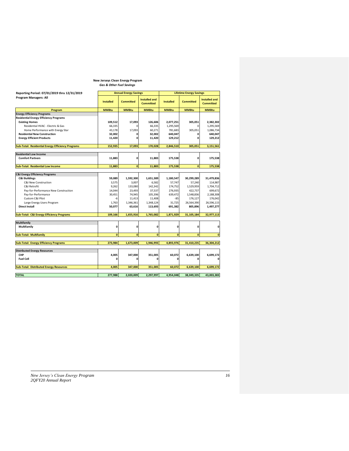## *Gas & Other Fuel Savings* **New Jerseys Clean Energy Program**

| Reporting Period: 07/01/2019 thru 12/31/2019             |                  | <b>Annual Energy Savings</b> |                                          | <b>Lifetime Energy Savings</b> |                  |                                          |  |
|----------------------------------------------------------|------------------|------------------------------|------------------------------------------|--------------------------------|------------------|------------------------------------------|--|
| Program Managers: All                                    | <b>Installed</b> | <b>Committed</b>             | <b>Installed and</b><br><b>Committed</b> | <b>Installed</b>               | <b>Committed</b> | <b>Installed and</b><br><b>Committed</b> |  |
| Program                                                  | <b>MMBtu</b>     | <b>MMBtu</b>                 | <b>MMBtu</b>                             | <b>MMBtu</b>                   | <b>MMBtu</b>     | <b>MMBtu</b>                             |  |
| <b>Energy Efficiency Programs</b>                        |                  |                              |                                          |                                |                  |                                          |  |
| <b>Residential Energy Efficiency Programs</b>            |                  |                              |                                          |                                |                  |                                          |  |
| <b>Existing Homes</b>                                    | 109,512          | 17,093                       | 126,606                                  | 2,077,251                      | 305,051          | 2,382,302                                |  |
| Residential HVAC - Electric & Gas                        | 66,335           | $\Omega$                     | 66,335                                   | 1,295,569                      | $\mathbf 0$      | 1,295,569                                |  |
| Home Performance with Energy Star                        | 43,178           | 17.093                       | 60,271                                   | 781,683                        | 305,051          | 1,086,734                                |  |
| <b>Residential New Construction</b>                      | 32,002           | 0                            | 32,002                                   | 640,047                        | 0                | 640,047                                  |  |
| <b>Energy Efficient Products</b>                         | 11,420           | $\mathbf{0}$                 | 11,420                                   | 129,212                        | 0                | 129,212                                  |  |
| <b>Sub-Total: Residential Energy Efficiency Programs</b> | 152.935          | 17.093                       | 170.028                                  | 2,846,510                      | 305.051          | 3,151,561                                |  |
|                                                          |                  |                              |                                          |                                |                  |                                          |  |
| <b>Residential Low Income</b>                            |                  |                              |                                          |                                |                  |                                          |  |
| <b>Comfort Partners</b>                                  | 11,883           | 0                            | 11,883                                   | 175,538                        | 0                | 175,538                                  |  |
| <b>Sub-Total: Residential Low Income</b>                 | 11,883           | $\mathbf{0}$                 | 11,883                                   | 175,538                        | $\mathbf{0}$     | 175,538                                  |  |
| <b>C&amp;I Energy Efficiency Programs</b>                |                  |                              |                                          |                                |                  |                                          |  |
| <b>C&amp;I Buildings</b>                                 | 59,089           | 1,592,300                    | 1,651,389                                | 1,180,547                      | 30,299,289       | 31,479,836                               |  |
| <b>C&amp;I New Construction</b>                          | 3.575            | 3.007                        | 6,582                                    | 57.747                         | 57.240           | 114,987                                  |  |
| C&I Retrofit                                             | 9,262            | 133,080                      | 142,342                                  | 174,752                        | 1,529,959        | 1,704,712                                |  |
| Pay-for-Performance New Construction                     | 14,044           | 23,493                       | 37,537                                   | 276,935                        | 422,737          | 699,672                                  |  |
| Pay-for-Performance                                      | 30,451           | 74,945                       | 105,396                                  | 639,472                        | 1,548,836        | 2,188,308                                |  |
| Custom C&I Pilot                                         | -6               | 11,413                       | 11,408                                   | $-85$                          | 176,127          | 176,042                                  |  |
| Large Energy Users Program                               | 1.763            | 1,346,361                    | 1,348,124                                | 31.725                         | 26,564,390       | 26,596,115                               |  |
| <b>Direct Install</b>                                    | 50,077           | 63,616                       | 113,693                                  | 691,382                        | 805,896          | 1,497,277                                |  |
| <b>Sub-Total: C&amp;I Energy Efficiency Programs</b>     | 109,166          | 1,655,916                    | 1.765.082                                | 1,871,929                      | 31,105,184       | 32,977,113                               |  |
|                                                          |                  |                              |                                          |                                |                  |                                          |  |
| Multifamily                                              |                  |                              |                                          |                                |                  |                                          |  |
| Multifamily                                              | 0                | $\mathbf{0}$                 | $\mathbf{0}$                             | 0                              | 0                | 0                                        |  |
| <b>Sub-Total: Multifamily</b>                            | $\mathbf{0}$     | $\mathbf{0}$                 | $\mathbf{0}$                             | $\mathbf{0}$                   | $\mathbf{0}$     | $\mathbf{0}$                             |  |
| <b>Sub-Total: Energy Efficiency Programs</b>             | 273,984          | 1,673,009                    | 1,946,993                                | 4,893,976                      | 31,410,235       | 36,304,212                               |  |
|                                                          |                  |                              |                                          |                                |                  |                                          |  |
| <b>Distributed Energy Resources</b>                      |                  |                              |                                          |                                |                  |                                          |  |
| CHP                                                      | 4,005            | 347,000                      | 351,005                                  | 60,072                         | 6,639,100        | 6,699,172                                |  |
| <b>Fuel Cell</b>                                         | O                | $\mathbf 0$                  | O                                        | 0                              | $\mathbf 0$      | 0                                        |  |
| <b>Sub-Total: Distributed Energy Resources</b>           | 4.005            | 347,000                      | 351,005                                  | 60,072                         | 6,639,100        | 6,699,172                                |  |
| <b>TOTAL</b>                                             | 277,988          | 2,020,009                    | 2,297,997                                | 4,954,048                      | 38,049,335       | 43,003,383                               |  |
|                                                          |                  |                              |                                          |                                |                  |                                          |  |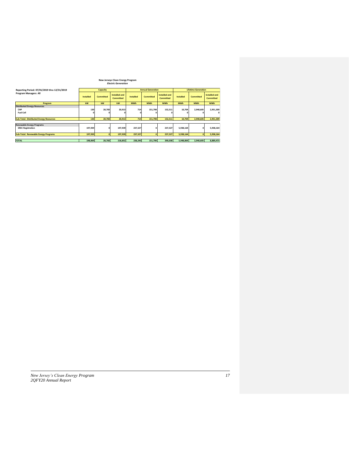### **New Jerseys Clean Energy Program** *Electric Generation*

| Reporting Period: 07/01/2019 thru 12/31/2019   |                  | Capacity         |                                   |                  | <b>Annual Generation</b> |                                   | <b>Lifetime Generation</b> |                  |                                          |
|------------------------------------------------|------------------|------------------|-----------------------------------|------------------|--------------------------|-----------------------------------|----------------------------|------------------|------------------------------------------|
| <b>Program Managers: All</b>                   | <b>Installed</b> | <b>Committed</b> | Installed and<br><b>Committed</b> | <b>Installed</b> | <b>Committed</b>         | Installed and<br><b>Committed</b> | <b>Installed</b>           | <b>Committed</b> | <b>Installed and</b><br><b>Committed</b> |
| Program                                        | kW               | kW               | kW                                | <b>MWh</b>       | <b>MWh</b>               | <b>MWh</b>                        | <b>MWh</b>                 | <b>MWh</b>       | <b>MWh</b>                               |
| <b>Distributed Energy Resources</b>            |                  |                  |                                   |                  |                          |                                   |                            |                  |                                          |
| CHP                                            | 130              | 20,783           | 20,913                            | 714              | 151.798                  | 152.511                           | 10,704                     | 2,940,605        | 2,951,309                                |
| <b>Fuel Cell</b>                               |                  |                  |                                   | O                |                          |                                   | $\Omega$                   |                  | $\Omega$                                 |
|                                                |                  |                  |                                   |                  |                          |                                   |                            |                  |                                          |
| <b>Sub-Total: Distributed Energy Resources</b> | 130              | 20.783           | 20,913                            | 714              | 151,798                  | 152,511                           | 10,704                     | 2,940,605        | 2,951,309                                |
|                                                |                  |                  |                                   |                  |                          |                                   |                            |                  |                                          |
| <b>Renewable Energy Programs</b>               |                  |                  |                                   |                  |                          |                                   |                            |                  |                                          |
| <b>SREC Registration</b>                       | 197,939          | $\mathbf 0$      | 197,939                           | 237,527          |                          | 237,527                           | 5,938,164                  | O                | 5,938,164                                |
|                                                |                  |                  |                                   |                  |                          |                                   |                            |                  |                                          |
| <b>Sub-Total: Renewable Energy Programs</b>    | 197,939          | $\Omega$         | 197,939                           | 237,527          |                          | 237,527                           | 5,938,164                  | 0                | 5,938,164                                |
|                                                |                  |                  |                                   |                  |                          |                                   |                            |                  |                                          |
| <b>TOTAL</b>                                   | 198.069          | 20.783           | 218.852                           | 238,240          | 151.798                  | 390.038                           | 5.948.869                  | 2.940.605        | 8,889,473                                |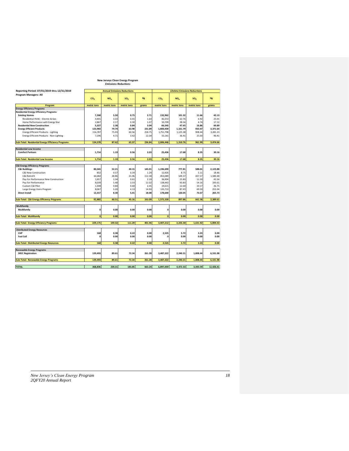## **New Jerseys Clean Energy Program**  *Emissions Reductions*

|                                                          |                 | New Jerseys Clean Energy Program<br><b>Emissions Reductions</b> |                 |        |                                      |                 |                 |           |  |
|----------------------------------------------------------|-----------------|-----------------------------------------------------------------|-----------------|--------|--------------------------------------|-----------------|-----------------|-----------|--|
| Reporting Period: 07/01/2019 thru 12/31/2019             |                 | <b>Annual Emissions Reductions</b>                              |                 |        | <b>Lifetime Emissions Reductions</b> |                 |                 |           |  |
| Program Managers: All                                    | CO <sub>2</sub> | NO <sub>x</sub>                                                 | SO <sub>2</sub> | Hg     | CO <sub>2</sub>                      | NO <sub>x</sub> | SO <sub>2</sub> | Hg        |  |
| Program                                                  | metric tons     | metric tons                                                     | metric tons     | grams  | metric tons                          | metric tons     | metric tons     | grams     |  |
| <b>Energy Efficiency Programs</b>                        |                 |                                                                 |                 |        |                                      |                 |                 |           |  |
| <b>Residential Energy Efficiency Programs</b>            |                 |                                                                 |                 |        |                                      |                 |                 |           |  |
| <b>Existing Homes</b>                                    | 7,268           | 5.50                                                            | 0.75            | 2.71   | 132,962                              | 101.32          | 11.66           | 42.13     |  |
| Residential HVAC - Electric & Gas                        | 4,401           | 3.33                                                            | 0.45            | 1.64   | 82,253                               | 62.76           | 6.92            | 25.01     |  |
| Home Performance with Energy Star                        | 2,867           | 2.17                                                            | 0.30            | 1.07   | 50,709                               | 38.56           | 4.74            | 17.12     |  |
| <b>Residential New Construction</b>                      | 3,327           | 2.38                                                            | 0.84            | 3.04   | 66,545                               | 47.65           | 16.86           | 60.89     |  |
| <b>Energy Efficient Products</b>                         | 123.983         | 79.74                                                           | 63.98           | 231.09 | 1,806,939                            | 1.161.79        | 933.47          | 3.371.64  |  |
| <b>Energy Efficient Products - Lighting</b>              | 116,787         | 75.03                                                           | 60.56           | 218.75 | 1,751,798                            | 1,125.38        | 908.44          | 3,281.23  |  |
| Energy Efficient Products - Non-Lighting                 | 7,196           | 4.71                                                            | 3.42            | 12.34  | 55,141                               | 36.41           | 25.03           | 90.41     |  |
| <b>Sub-Total: Residential Energy Efficiency Programs</b> | 134,578         | 87.62                                                           | 65.57           | 236.84 | 2,006,446                            | 1,310.76        | 961.99          | 3,474.66  |  |
| <b>Residential Low Income</b>                            |                 |                                                                 |                 |        |                                      |                 |                 |           |  |
| <b>Comfort Partners</b>                                  | 1,714           | 1.19                                                            | 0.56            | 2.03   | 25,436                               | 17.68           | 8.35            | 30.16     |  |
| Sub-Total: Residential Low Income                        | 1.714           | 1.19                                                            | 0.56            | 2.03   | 25.436                               | 17.68           | 8.35            | 30.16     |  |
| <b>C&amp;I Energy Efficiency Programs</b>                |                 |                                                                 |                 |        |                                      |                 |                 |           |  |
| <b>C&amp;I Buildings</b>                                 | 80,565          | 52.21                                                           | 40.15           | 145.01 | 1,196,690                            | 777.81          | 588.01          | 2,123.88  |  |
| C&I New Construction                                     | 852             | 0.57                                                            | 0.34            | 1.24   | 12,926                               | 8.75            | 5.11            | 18.46     |  |
| C&I Retrofit                                             | 60,382          | 38.86                                                           | 31.06           | 112.18 | 853,089                              | 549.37          | 437.57          | 1,580.48  |  |
| Pay-for-Performance New Construction                     | 1.917           | 1.34                                                            | 0.61            | 2.19   | 36,904                               | 25.83           | 11.50           | 41.54     |  |
| Pay-for-Performance                                      | 8,039           | 5.40                                                            | 3.33            | 12.02  | 138,443                              | 93.83           | 54.16           | 195.61    |  |
| Custom C&I Pilot                                         | 1,308           | 0.84                                                            | 0.68            | 2.45   | 19,615                               | 12.60           | 10.17           | 36.75     |  |
| Large Energy Users Program                               | 8,067           | 5.20                                                            | 4.13            | 14.93  | 135,713                              | 87.43           | 69.50           | 251.04    |  |
| <b>Direct Install</b>                                    | 12,317          | 8.30                                                            | 5.01            | 18.08  | 178,640                              | 120.05          | 73.57           | 265.73    |  |
| Sub-Total: C&I Energy Efficiency Programs                | 92,882          | 60.51                                                           | 45.16           | 163.09 | 1,375,330                            | 897.86          | 661.58          | 2,389.61  |  |
|                                                          |                 |                                                                 |                 |        |                                      |                 |                 |           |  |
| Multifamily<br>Multifamily                               | $\Omega$        | 0.00                                                            | 0.00            | 0.00   | 0                                    | 0.00            | 0.00            | 0.00      |  |
| Sub-Total: Multifamily                                   | $\mathbf{o}$    | 0.00                                                            | 0.00            | 0.00   | $\mathbf{0}$                         | 0.00            | 0.00            | 0.00      |  |
| <b>Sub-Total: Energy Efficiency Programs</b>             | 229,175         | 149.32                                                          | 111.29          | 401.96 | 3,407,212                            | 2,226.30        | 1,631.92        | 5,894.43  |  |
|                                                          |                 |                                                                 |                 |        |                                      |                 |                 |           |  |
| <b>Distributed Energy Resources</b>                      |                 |                                                                 |                 |        |                                      |                 |                 |           |  |
| CHP                                                      | 168             | 0.38                                                            | 0.22            | 0.00   | 2,525                                | 5.72            | 3.23            | 0.00      |  |
| <b>Fuel Cell</b>                                         | $\Omega$        | 0.00                                                            | 0.00            | 0.00   | o                                    | 0.00            | 0.00            | 0.00      |  |
| <b>Sub-Total: Distributed Energy Resources</b>           | 168             | 0.38                                                            | 0.22            | 0.00   | 2,525                                | 5.72            | 3.23            | 0.00      |  |
| <b>Renewable Energy Programs</b>                         |                 |                                                                 |                 |        |                                      |                 |                 |           |  |
| <b>SREC Registration</b>                                 | 139,493         | 89.61                                                           | 72.34           | 261.28 | 3,487,322                            | 2,240.31        | 1,808.44        | 6,531.98  |  |
| <b>Sub-Total: Renewable Energy Programs</b>              | 139,493         | 89.61                                                           | 72.34           | 261.28 | 3,487,322                            | 2,240.31        | 1,808.44        | 6,531.98  |  |
| <b>TOTAL</b>                                             | 368,836         | 239.31                                                          | 183.85          | 663.24 | 6,897,059                            | 4,472.33        | 3,443.59        | 12,426.41 |  |
|                                                          |                 |                                                                 |                 |        |                                      |                 |                 |           |  |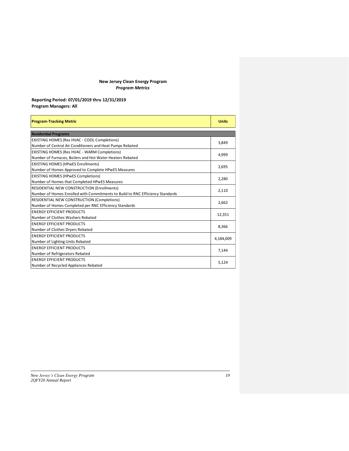## **New Jersey Clean Energy Program** *Program Metrics*

## **Reporting Period: 07/01/2019 thru 12/31/2019 Program Managers: All**

| <b>Program-Tracking Metric</b>                                                 | <b>Units</b> |
|--------------------------------------------------------------------------------|--------------|
| <b>Residential Programs</b>                                                    |              |
| EXISTING HOMES (Res HVAC - COOL Completions)                                   | 3,849        |
| Number of Central Air Conditioners and Heat Pumps Rebated                      |              |
| EXISTING HOMES (Res HVAC - WARM Completions)                                   | 4,999        |
| Number of Furnaces, Boilers and Hot Water Heaters Rebated                      |              |
| <b>EXISTING HOMES (HPwES Enrollments)</b>                                      | 2,695        |
| Number of Homes Approved to Complete HPwES Measures                            |              |
| <b>EXISTING HOMES (HPwES Completions)</b>                                      | 2,280        |
| Number of Homes that Completed HPwES Measures                                  |              |
| <b>RESIDENTIAL NEW CONSTRUCTION (Enrollments)</b>                              | 2,110        |
| Number of Homes Enrolled with Commitments to Build to RNC Efficiency Standards |              |
| RESIDENTIAL NEW CONSTRUCTION (Completions)                                     | 2,662        |
| Number of Homes Completed per RNC Efficiency Standards                         |              |
| <b>FNERGY FFFICIENT PRODUCTS</b>                                               | 12,351       |
| Number of Clothes Washers Rebated                                              |              |
| <b>ENERGY EFFICIENT PRODUCTS</b>                                               | 8,366        |
| Number of Clothes Dryers Rebated                                               |              |
| <b>ENERGY EFFICIENT PRODUCTS</b>                                               | 4,184,009    |
| Number of Lighting Units Rebated                                               |              |
| <b>ENERGY EFFICIENT PRODUCTS</b>                                               | 7,144        |
| Number of Refrigerators Rebated                                                |              |
| <b>ENERGY EFFICIENT PRODUCTS</b>                                               | 5,124        |
| Number of Recycled Appliances Rebated                                          |              |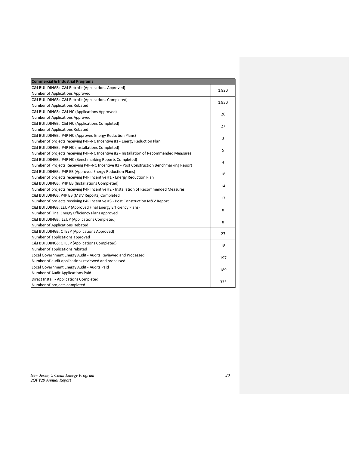| <b>Commercial &amp; Industrial Programs</b>                                              |       |
|------------------------------------------------------------------------------------------|-------|
| C&I BUILDINGS: C&I Retrofit (Applications Approved)                                      |       |
| Number of Applications Approved                                                          | 1,820 |
| C&I BUILDINGS: C&I Retrofit (Applications Completed)                                     | 1,950 |
| Number of Applications Rebated                                                           |       |
| C&I BUILDINGS: C&I NC (Applications Approved)                                            | 26    |
| Number of Applications Approved                                                          |       |
| C&I BUILDINGS: C&I NC (Applications Completed)                                           | 27    |
| Number of Applications Rebated                                                           |       |
| C&I BUILDINGS: P4P NC (Approved Energy Reduction Plans)                                  | 3     |
| Number of projects receiving P4P-NC Incentive #1 - Energy Reduction Plan                 |       |
| C&I BUILDINGS: P4P NC (Installations Completed)                                          | 5     |
| Number of projects receiving P4P-NC Incentive #2 - Installation of Recommended Measures  |       |
| C&I BUILDINGS: P4P NC (Benchmarking Reports Completed)                                   | 4     |
| Number of Projects Receiving P4P-NC Incentive #3 - Post Construction Benchmarking Report |       |
| C&I BUILDINGS: P4P EB (Approved Energy Reduction Plans)                                  | 18    |
| Number of projects receiving P4P Incentive #1 - Energy Reduction Plan                    |       |
| C&I BUILDINGS: P4P EB (Installations Completed)                                          | 14    |
| Number of projects receiving P4P Incentive #2 - Installation of Recommended Measures     |       |
| C&I BUILDINGS: P4P EB (M&V Reports) Completed                                            | 17    |
| Number of projects receiving P4P Incentive #3 - Post Construction M&V Report             |       |
| C&I BUILDINGS: LEUP (Approved Final Energy Efficiency Plans)                             | 8     |
| Number of Final Energy Efficiency Plans approved                                         |       |
| C&I BUILDINGS: LEUP (Applications Completed)                                             | 8     |
| Number of Applications Rebated                                                           |       |
| C&I BUILDINGS: CTEEP (Applications Approved)                                             | 27    |
| Number of applications approved                                                          |       |
| C&I BUILDINGS: CTEEP (Applications Completed)                                            | 18    |
| Number of applications rebated                                                           |       |
| Local Government Energy Audit - Audits Reviewed and Processed                            | 197   |
| Number of audit applications reviewed and processed                                      |       |
| Local Government Energy Audit - Audits Paid                                              | 189   |
| Number of Audit Applications Paid                                                        |       |
| Direct Install - Applications Completed                                                  | 335   |
| Number of projects completed                                                             |       |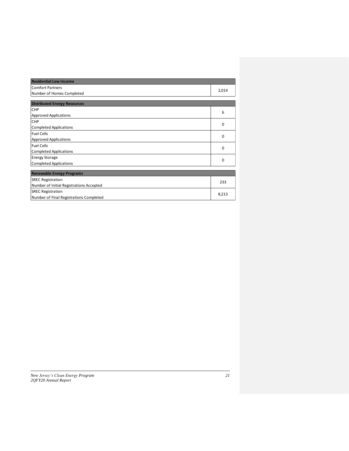| <b>Residential Low Income</b>            |          |
|------------------------------------------|----------|
| <b>Comfort Partners</b>                  | 2,014    |
| Number of Homes Completed                |          |
|                                          |          |
| <b>Distributed Energy Resources</b>      |          |
| CHP                                      | 6        |
| <b>Approved Applications</b>             |          |
| <b>CHP</b>                               | $\Omega$ |
| <b>Completed Applications</b>            |          |
| <b>Fuel Cells</b>                        | 0        |
| <b>Approved Applications</b>             |          |
| <b>Fuel Cells</b>                        | 0        |
| <b>Completed Applications</b>            |          |
| <b>Energy Storage</b>                    | $\Omega$ |
| <b>Completed Applications</b>            |          |
|                                          |          |
| <b>Renewable Energy Programs</b>         |          |
| <b>SREC Registration</b>                 | 233      |
| Number of Initial Registrations Accepted |          |
| <b>SREC Registration</b>                 | 8,213    |
| Number of Final Registrations Completed  |          |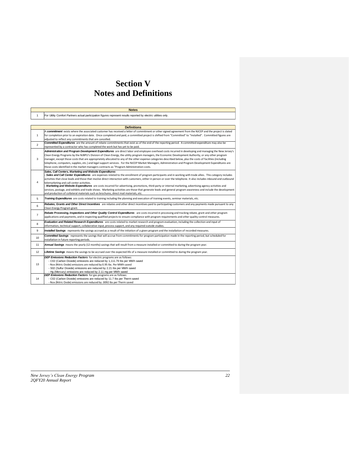# **Section V Notes and Definitions**

|                | <b>Notes</b>                                                                                                                                                                                                                                                                                                                                                                                                                                                                                                                                                                                                                                                                                                                                                              |
|----------------|---------------------------------------------------------------------------------------------------------------------------------------------------------------------------------------------------------------------------------------------------------------------------------------------------------------------------------------------------------------------------------------------------------------------------------------------------------------------------------------------------------------------------------------------------------------------------------------------------------------------------------------------------------------------------------------------------------------------------------------------------------------------------|
| $\mathbf{1}$   | For Utility Comfort Partners actual participation figures represent results reported by electric utilities only.                                                                                                                                                                                                                                                                                                                                                                                                                                                                                                                                                                                                                                                          |
|                |                                                                                                                                                                                                                                                                                                                                                                                                                                                                                                                                                                                                                                                                                                                                                                           |
|                | <b>Definitions</b>                                                                                                                                                                                                                                                                                                                                                                                                                                                                                                                                                                                                                                                                                                                                                        |
| $\mathbf{1}$   | A commitment exists where the associated customer has received a letter of commitment or other signed agreement from the NJCEP and the project is slated<br>for completion prior to an expiration date. Once completed and paid, a committed project is shifted from "Committed" to "Installed". Committed figures are<br>adjusted to reflect any commitments that are cancelled.                                                                                                                                                                                                                                                                                                                                                                                         |
| $\overline{2}$ | Committed Expenditures are the amount of rebate commitments that exist as of the end of the reporting period. A committed expenditure may also be<br>represented by a contractor who has completed the work but has yet to be paid.                                                                                                                                                                                                                                                                                                                                                                                                                                                                                                                                       |
| 3              | Administration and Program Development Expenditures are direct labor and employee overhead costs incurred in developing and managing the New Jersey's<br>Clean Energy Programs by the NJBPU's Division of Clean Energy, the utility program managers, the Economic Development Authority, or any other program<br>manager, except those costs that are appropriately allocated to any of the other expense categories described below, plus the costs of facilities (including<br>telephone, computers, supplies, etc.) and legal support services. For the NJCEP Market Managers, Administration and Program Development Expenditures are<br>those costs identified in the market managers contracts as "Program Administration costs.                                   |
| $\overline{4}$ | Sales, Call Centers, Marketing and Website Expenditures<br>- Sales and Call Center Expenditures are expenses related to the enrollment of program participants and in working with trade allies. This category includes<br>activities that close leads and those that involve direct interaction with customers, either in person or over the telephone. It also includes inbound and outbound<br>telemarketing and call center activities.<br>- Marketing and Website Expenditures are costs incurred for advertising, promotions, third-party or internal marketing, advertising agency activities and<br>services, postage, and exhibits and trade shows. Marketing activities are those that generate leads and general program awareness and include the development |
|                | and production of collateral materials such as brochures, direct mail materials, etc.                                                                                                                                                                                                                                                                                                                                                                                                                                                                                                                                                                                                                                                                                     |
| 5.             | Training Expenditures are costs related to training including the planning and execution of training events, seminar materials, etc.                                                                                                                                                                                                                                                                                                                                                                                                                                                                                                                                                                                                                                      |
| 6              | Rebates, Grants and Other Direct Incentives are rebates and other direct incentives paid to participating customers and any payments made pursuant to any<br>Clean Energy Program grant.                                                                                                                                                                                                                                                                                                                                                                                                                                                                                                                                                                                  |
| $\overline{7}$ | Rebate Processing, Inspections and Other Quality Control Expenditures are costs incurred in processing and tracking rebate, grant and other program<br>applications and payments, and in inspecting qualified projects to ensure compliance with program requirements and other quality control measures.                                                                                                                                                                                                                                                                                                                                                                                                                                                                 |
| 8              | Evaluation and Related Research Expenditures are costs related to market research and program evaluation, including the collection and input of<br>information, technical support, collaborative input, process support, and any required outside studies.                                                                                                                                                                                                                                                                                                                                                                                                                                                                                                                |
| 9              | Installed Savings represents the savings accrued as a result of the initiation of a given program and the installation of recorded measures.                                                                                                                                                                                                                                                                                                                                                                                                                                                                                                                                                                                                                              |
| 10             | Committed Savings represents the savings that will accrue from commitments for program participation made in the reporting period, but scheduled for<br>installation in future reporting periods.                                                                                                                                                                                                                                                                                                                                                                                                                                                                                                                                                                         |
| 11             | Annual Savings means the yearly (12 months) savings that will result from a measure installed or committed to during the program year.                                                                                                                                                                                                                                                                                                                                                                                                                                                                                                                                                                                                                                    |
| 12             | Lifetime Savings means the savings to be accrued over the expected life of a measure installed or committed to during the program year.                                                                                                                                                                                                                                                                                                                                                                                                                                                                                                                                                                                                                                   |
| 13             | DEP Emissions Reduction Factors for electric programs are as follows:<br>- C02 (Carbon Dioxide) emissions are reduced by 1,111.79 lbs per MWh saved<br>- Nox (Nitric Oxide) emissions are reduced by 0.95 lbs. Per MWh saved<br>- S02 (Sulfur Dioxide) emissions are reduced by 2.21 lbs per MWh saved<br>- Hg (Mercury) emissions are reduced by 2.11 mg per MWh saved                                                                                                                                                                                                                                                                                                                                                                                                   |
| 14             | DEP Emissions Reduction Factors for gas programs are as follows:<br>- C02 (Carbon Dioxide) emissions are reduced by 11.7 lbs per Therm saved<br>- Nox (Nitric Oxide) emissions are reduced by .0092 Ibs per Therm saved                                                                                                                                                                                                                                                                                                                                                                                                                                                                                                                                                   |